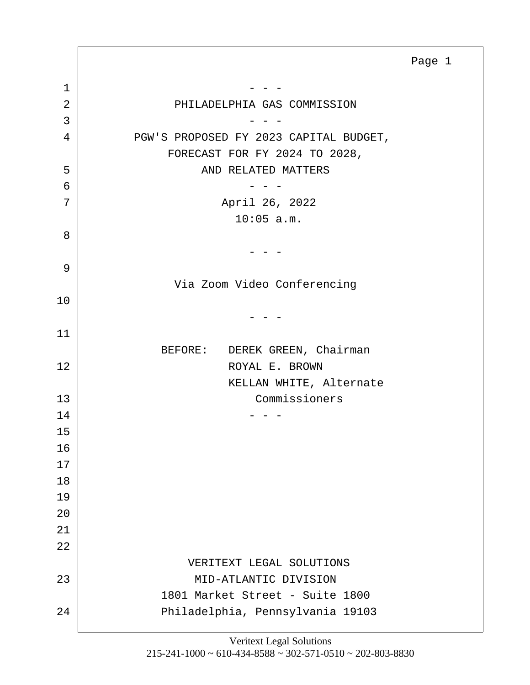<span id="page-0-0"></span>1 - - - 2 PHILADELPHIA GAS COMMISSION  $3$  - - -4 PGW'S PROPOSED FY 2023 CAPITAL BUDGET, FORECAST FOR FY 2024 TO 2028, 5 | AND RELATED MATTERS  $\overline{6}$  - - -7 | April 26, 2022 10:05 a.m. 8  $-$ 9 Via Zoom Video Conferencing 10  $-$ 11 BEFORE: DEREK GREEN, Chairman 12 ROYAL E. BROWN KELLAN WHITE, Alternate 13 Commissioners  $14$  - - -15 16 17 18 19 20 21 22 VERITEXT LEGAL SOLUTIONS 23 MID-ATLANTIC DIVISION 1801 Market Street - Suite 1800 24 Philadelphia, Pennsylvania 19103 Page 1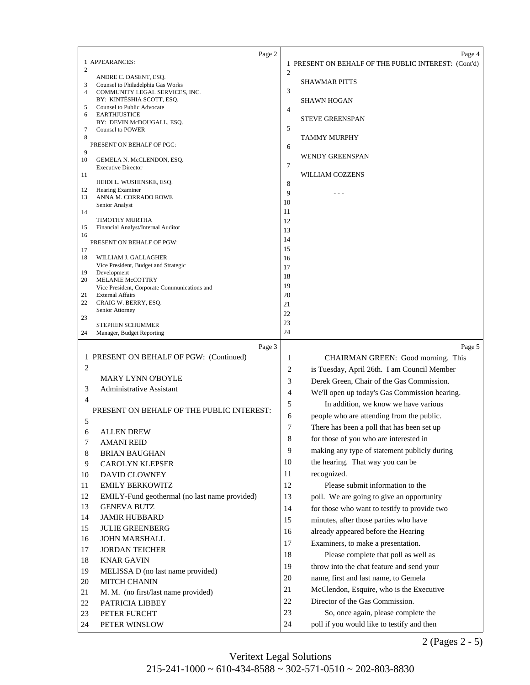<span id="page-1-0"></span>

|          | Page 2                                                              |                | Page 4                                               |
|----------|---------------------------------------------------------------------|----------------|------------------------------------------------------|
|          | 1 APPEARANCES:                                                      |                | 1 PRESENT ON BEHALF OF THE PUBLIC INTEREST: (Cont'd) |
| 2        |                                                                     | $\overline{2}$ |                                                      |
| 3        | ANDRE C. DASENT, ESQ.                                               |                | <b>SHAWMAR PITTS</b>                                 |
| 4        | Counsel to Philadelphia Gas Works<br>COMMUNITY LEGAL SERVICES, INC. | 3              |                                                      |
|          | BY: KINTÉSHIA SCOTT, ESQ.                                           |                | <b>SHAWN HOGAN</b>                                   |
| 5<br>6   | Counsel to Public Advocate<br><b>EARTHJUSTICE</b>                   | 4              |                                                      |
|          | BY: DEVIN McDOUGALL, ESQ.                                           |                | STEVE GREENSPAN                                      |
| 7        | <b>Counsel to POWER</b>                                             | 5              |                                                      |
| 8        |                                                                     |                | TAMMY MURPHY                                         |
| 9        | PRESENT ON BEHALF OF PGC:                                           | 6              |                                                      |
| 10       | GEMELA N. McCLENDON, ESQ.                                           |                | <b>WENDY GREENSPAN</b>                               |
|          | <b>Executive Director</b>                                           | 7              |                                                      |
| 11       | HEIDI L. WUSHINSKE, ESQ.                                            | 8              | WILLIAM COZZENS                                      |
| 12       | Hearing Examiner                                                    | 9              |                                                      |
| 13       | ANNA M. CORRADO ROWE                                                | 10             |                                                      |
| 14       | Senior Analyst                                                      | 11             |                                                      |
|          | <b>TIMOTHY MURTHA</b>                                               | 12             |                                                      |
| 15       | Financial Analyst/Internal Auditor                                  | 13             |                                                      |
| 16       | PRESENT ON BEHALF OF PGW:                                           | 14             |                                                      |
| 17       |                                                                     | 15             |                                                      |
| 18       | WILLIAM J. GALLAGHER                                                | 16             |                                                      |
| 19       | Vice President, Budget and Strategic<br>Development                 | 17             |                                                      |
| 20       | <b>MELANIE McCOTTRY</b>                                             | 18             |                                                      |
|          | Vice President, Corporate Communications and                        | 19             |                                                      |
| 21<br>22 | <b>External Affairs</b><br>CRAIG W. BERRY, ESQ.                     | 20<br>21       |                                                      |
|          | Senior Attorney                                                     | 22             |                                                      |
| 23       | <b>STEPHEN SCHUMMER</b>                                             | 23             |                                                      |
| 24       | Manager, Budget Reporting                                           | 24             |                                                      |
|          |                                                                     |                |                                                      |
|          |                                                                     |                |                                                      |
|          | Page 3                                                              |                | Page 5                                               |
|          | 1 PRESENT ON BEHALF OF PGW: (Continued)                             | 1              | CHAIRMAN GREEN: Good morning. This                   |
| 2        |                                                                     | 2              | is Tuesday, April 26th. I am Council Member          |
|          | <b>MARY LYNN O'BOYLE</b>                                            | 3              | Derek Green, Chair of the Gas Commission.            |
| 3        | <b>Administrative Assistant</b>                                     | 4              | We'll open up today's Gas Commission hearing.        |
| 4        |                                                                     | 5              | In addition, we know we have various                 |
|          | PRESENT ON BEHALF OF THE PUBLIC INTEREST:                           |                |                                                      |
| 5        |                                                                     | 6              | people who are attending from the public.            |
| 6        | <b>ALLEN DREW</b>                                                   | 7              | There has been a poll that has been set up           |
| 7        | <b>AMANI REID</b>                                                   | 8              | for those of you who are interested in               |
| 8        | <b>BRIAN BAUGHAN</b>                                                | 9              | making any type of statement publicly during         |
| 9        | <b>CAROLYN KLEPSER</b>                                              | 10             | the hearing. That way you can be                     |
|          |                                                                     | 11             | recognized.                                          |
| 10       | DAVID CLOWNEY                                                       |                |                                                      |
| 11       | <b>EMILY BERKOWITZ</b>                                              | 12             | Please submit information to the                     |
| 12       | EMILY-Fund geothermal (no last name provided)                       | 13             | poll. We are going to give an opportunity            |
| 13       | <b>GENEVA BUTZ</b>                                                  | 14             | for those who want to testify to provide two         |
| 14       | <b>JAMIR HUBBARD</b>                                                | 15             | minutes, after those parties who have                |
| 15       | <b>JULIE GREENBERG</b>                                              | 16             | already appeared before the Hearing                  |
| 16       | <b>JOHN MARSHALL</b>                                                | 17             | Examiners, to make a presentation.                   |
| 17       | <b>JORDAN TEICHER</b>                                               | 18             | Please complete that poll as well as                 |
| 18       | <b>KNAR GAVIN</b>                                                   |                |                                                      |
| 19       | MELISSA D (no last name provided)                                   | 19             | throw into the chat feature and send your            |
| 20       | MITCH CHANIN                                                        | 20             | name, first and last name, to Gemela                 |
| 21       | M. M. (no first/last name provided)                                 | 21             | McClendon, Esquire, who is the Executive             |
| 22       | PATRICIA LIBBEY                                                     | 22             | Director of the Gas Commission.                      |
| 23       | PETER FURCHT                                                        | 23             | So, once again, please complete the                  |

2 (Pages 2 - 5)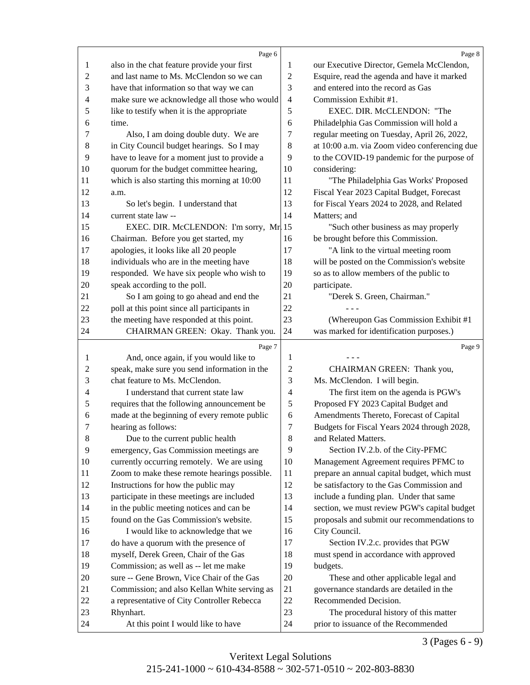<span id="page-2-0"></span>

|                | Page 6                                                                             |                | Page 8                                                                        |
|----------------|------------------------------------------------------------------------------------|----------------|-------------------------------------------------------------------------------|
| 1              | also in the chat feature provide your first                                        | $\mathbf{1}$   | our Executive Director, Gemela McClendon,                                     |
| $\overline{c}$ | and last name to Ms. McClendon so we can                                           | $\overline{2}$ | Esquire, read the agenda and have it marked                                   |
| 3              | have that information so that way we can                                           | 3              | and entered into the record as Gas                                            |
| 4              | make sure we acknowledge all those who would                                       | $\overline{4}$ | Commission Exhibit #1.                                                        |
| 5              | like to testify when it is the appropriate                                         | 5              | EXEC. DIR. McCLENDON: "The                                                    |
| 6              | time.                                                                              | 6              | Philadelphia Gas Commission will hold a                                       |
| 7              | Also, I am doing double duty. We are                                               | 7              | regular meeting on Tuesday, April 26, 2022,                                   |
| 8              | in City Council budget hearings. So I may                                          | 8              | at 10:00 a.m. via Zoom video conferencing due                                 |
| $\overline{9}$ | have to leave for a moment just to provide a                                       | $\overline{9}$ | to the COVID-19 pandemic for the purpose of                                   |
| 10             | quorum for the budget committee hearing,                                           | 10             | considering:                                                                  |
| 11             | which is also starting this morning at 10:00                                       | 11             | "The Philadelphia Gas Works' Proposed                                         |
| 12             | a.m.                                                                               | 12             | Fiscal Year 2023 Capital Budget, Forecast                                     |
| 13             | So let's begin. I understand that                                                  | 13             | for Fiscal Years 2024 to 2028, and Related                                    |
| 14             | current state law --                                                               | 14             | Matters; and                                                                  |
| 15             | EXEC. DIR. McCLENDON: I'm sorry, Mr. 15                                            |                | "Such other business as may properly                                          |
| 16             | Chairman. Before you get started, my                                               | 16             | be brought before this Commission.                                            |
| 17             | apologies, it looks like all 20 people                                             | 17             | "A link to the virtual meeting room                                           |
| 18             | individuals who are in the meeting have                                            | 18             | will be posted on the Commission's website                                    |
| 19             | responded. We have six people who wish to                                          | 19             | so as to allow members of the public to                                       |
| $20\,$         | speak according to the poll.                                                       | 20             | participate.                                                                  |
| 21             | So I am going to go ahead and end the                                              | 21             | "Derek S. Green, Chairman."                                                   |
| 22             | poll at this point since all participants in                                       | 22             |                                                                               |
| 23             | the meeting have responded at this point.                                          | 23             | (Whereupon Gas Commission Exhibit #1                                          |
| 24             | CHAIRMAN GREEN: Okay. Thank you.                                                   | 24             | was marked for identification purposes.)                                      |
|                | Page 7                                                                             |                | Page 9                                                                        |
| $\mathbf{1}$   | And, once again, if you would like to                                              | $\mathbf{1}$   |                                                                               |
| 2              | speak, make sure you send information in the                                       | $\overline{c}$ | CHAIRMAN GREEN: Thank you,                                                    |
| 3              | chat feature to Ms. McClendon.                                                     | 3              | Ms. McClendon. I will begin.                                                  |
| 4              | I understand that current state law                                                | 4              | The first item on the agenda is PGW's                                         |
| 5              | requires that the following announcement be                                        | 5              | Proposed FY 2023 Capital Budget and                                           |
| 6              | made at the beginning of every remote public                                       | 6              | Amendments Thereto, Forecast of Capital                                       |
| 7              | hearing as follows:                                                                | 7              | Budgets for Fiscal Years 2024 through 2028,                                   |
| $\,8\,$        | Due to the current public health                                                   | $\,8\,$        | and Related Matters.                                                          |
| 9              | emergency, Gas Commission meetings are                                             | 9              | Section IV.2.b. of the City-PFMC                                              |
| 10             | currently occurring remotely. We are using                                         | 10             | Management Agreement requires PFMC to                                         |
| 11             | Zoom to make these remote hearings possible.                                       | 11             | prepare an annual capital budget, which must                                  |
| 12             | Instructions for how the public may                                                | 12             | be satisfactory to the Gas Commission and                                     |
| 13             | participate in these meetings are included                                         | 13             | include a funding plan. Under that same                                       |
| 14             |                                                                                    | 14             | section, we must review PGW's capital budget                                  |
| 15             | in the public meeting notices and can be<br>found on the Gas Commission's website. | 15             |                                                                               |
|                |                                                                                    | 16             | proposals and submit our recommendations to                                   |
| 16             | I would like to acknowledge that we                                                |                | City Council.                                                                 |
| 17<br>18       | do have a quorum with the presence of                                              | 17             | Section IV.2.c. provides that PGW                                             |
|                |                                                                                    |                |                                                                               |
|                | myself, Derek Green, Chair of the Gas                                              | 18             | must spend in accordance with approved                                        |
| 19             | Commission; as well as -- let me make                                              | 19             | budgets.                                                                      |
| $20\,$         | sure -- Gene Brown, Vice Chair of the Gas                                          | $20\,$         | These and other applicable legal and                                          |
| 21             | Commission; and also Kellan White serving as                                       | 21             | governance standards are detailed in the                                      |
| 22             | a representative of City Controller Rebecca                                        | $22\,$         | Recommended Decision.                                                         |
| 23<br>24       | Rhynhart.<br>At this point I would like to have                                    | 23<br>24       | The procedural history of this matter<br>prior to issuance of the Recommended |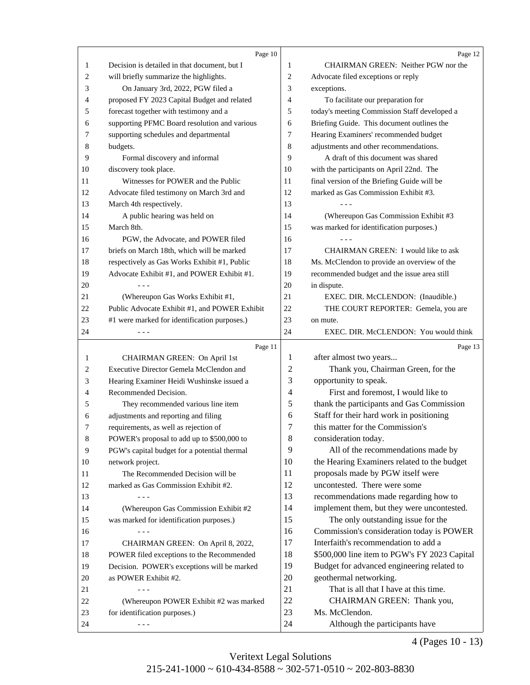<span id="page-3-0"></span>

|              | Page 10                                       |                | Page 12                                          |
|--------------|-----------------------------------------------|----------------|--------------------------------------------------|
| $\mathbf{1}$ | Decision is detailed in that document, but I  | 1              | CHAIRMAN GREEN: Neither PGW nor the              |
| 2            | will briefly summarize the highlights.        | 2              | Advocate filed exceptions or reply               |
| 3            | On January 3rd, 2022, PGW filed a             | 3              | exceptions.                                      |
| 4            | proposed FY 2023 Capital Budget and related   | $\overline{4}$ | To facilitate our preparation for                |
| 5            | forecast together with testimony and a        | 5              | today's meeting Commission Staff developed a     |
| 6            | supporting PFMC Board resolution and various  | 6              | Briefing Guide. This document outlines the       |
| 7            | supporting schedules and departmental         | 7              | Hearing Examiners' recommended budget            |
| 8            | budgets.                                      | 8              | adjustments and other recommendations.           |
| 9            | Formal discovery and informal                 | 9              | A draft of this document was shared              |
| 10           | discovery took place.                         | 10             | with the participants on April 22nd. The         |
| 11           | Witnesses for POWER and the Public            | 11             | final version of the Briefing Guide will be      |
| 12           | Advocate filed testimony on March 3rd and     | 12             | marked as Gas Commission Exhibit #3.             |
| 13           | March 4th respectively.                       | 13             |                                                  |
| 14           | A public hearing was held on                  | 14             | (Whereupon Gas Commission Exhibit #3             |
| 15           | March 8th.                                    | 15             | was marked for identification purposes.)         |
| 16           | PGW, the Advocate, and POWER filed            | 16             |                                                  |
| 17           | briefs on March 18th, which will be marked    | 17             | CHAIRMAN GREEN: I would like to ask              |
| 18           | respectively as Gas Works Exhibit #1, Public  | 18             | Ms. McClendon to provide an overview of the      |
| 19           | Advocate Exhibit #1, and POWER Exhibit #1.    | 19             | recommended budget and the issue area still      |
| 20           |                                               | 20             | in dispute.                                      |
| 21           | (Whereupon Gas Works Exhibit #1,              | 21             | EXEC. DIR. McCLENDON: (Inaudible.)               |
| 22           | Public Advocate Exhibit #1, and POWER Exhibit | 22             | THE COURT REPORTER: Gemela, you are              |
| 23           | #1 were marked for identification purposes.)  | 23             | on mute.                                         |
| 24           |                                               | 24             | EXEC. DIR. McCLENDON: You would think            |
|              |                                               |                |                                                  |
| $\mathbf{1}$ | Page 11<br>CHAIRMAN GREEN: On April 1st       | 1              | Page 13<br>after almost two years                |
| 2            | Executive Director Gemela McClendon and       | 2              | Thank you, Chairman Green, for the               |
| 3            | Hearing Examiner Heidi Wushinske issued a     | 3              | opportunity to speak.                            |
| 4            | Recommended Decision.                         | 4              | First and foremost, I would like to              |
| 5            | They recommended various line item            | 5              | thank the participants and Gas Commission        |
| 6            | adjustments and reporting and filing          |                |                                                  |
|              |                                               |                |                                                  |
|              |                                               | 6              | Staff for their hard work in positioning         |
| 7            | requirements, as well as rejection of         | 7              | this matter for the Commission's                 |
| 8            | POWER's proposal to add up to \$500,000 to    | 8              | consideration today.                             |
| 9            | PGW's capital budget for a potential thermal  | 9              | All of the recommendations made by               |
| 10           | network project.                              | 10             | the Hearing Examiners related to the budget      |
| 11           | The Recommended Decision will be              | 11             | proposals made by PGW itself were                |
| 12           | marked as Gas Commission Exhibit #2.          | 12             | uncontested. There were some                     |
| 13           |                                               | 13             | recommendations made regarding how to            |
| 14           | (Whereupon Gas Commission Exhibit #2          | 14             | implement them, but they were uncontested.       |
| 15           | was marked for identification purposes.)      | 15             | The only outstanding issue for the               |
| 16           |                                               | 16             | Commission's consideration today is POWER        |
| 17           | CHAIRMAN GREEN: On April 8, 2022,             | 17             | Interfaith's recommendation to add a             |
| 18           | POWER filed exceptions to the Recommended     | 18             | \$500,000 line item to PGW's FY 2023 Capital     |
| 19           | Decision. POWER's exceptions will be marked   | 19             | Budget for advanced engineering related to       |
| 20           | as POWER Exhibit #2.                          | 20             | geothermal networking.                           |
| 21           |                                               | 21             | That is all that I have at this time.            |
| 22           | (Whereupon POWER Exhibit #2 was marked        | 22             | CHAIRMAN GREEN: Thank you,                       |
| 23<br>24     | for identification purposes.)                 | 23<br>24       | Ms. McClendon.<br>Although the participants have |

4 (Pages 10 - 13)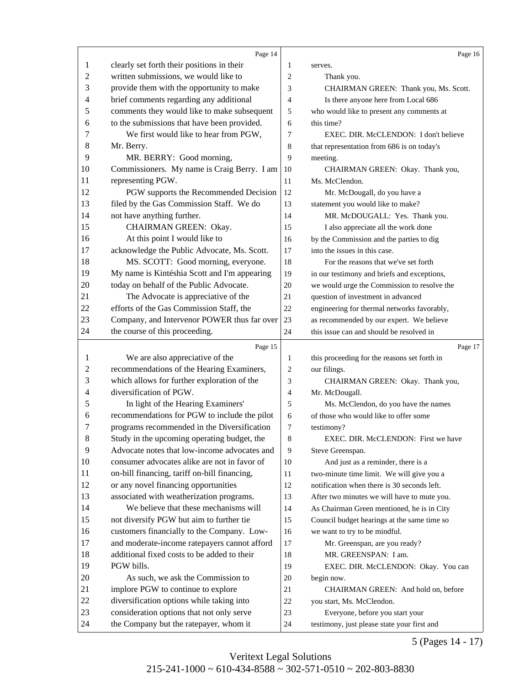<span id="page-4-0"></span>

|              | Page 14                                                                                     |                | Page 16                                                                       |
|--------------|---------------------------------------------------------------------------------------------|----------------|-------------------------------------------------------------------------------|
| 1            | clearly set forth their positions in their                                                  | 1              | serves.                                                                       |
| $\mathbf{2}$ | written submissions, we would like to                                                       | $\overline{c}$ | Thank you.                                                                    |
| 3            | provide them with the opportunity to make                                                   | 3              | CHAIRMAN GREEN: Thank you, Ms. Scott.                                         |
| 4            | brief comments regarding any additional                                                     | $\overline{4}$ | Is there anyone here from Local 686                                           |
| 5            | comments they would like to make subsequent                                                 | 5              | who would like to present any comments at                                     |
| 6            | to the submissions that have been provided.                                                 | 6              | this time?                                                                    |
| 7            | We first would like to hear from PGW,                                                       | 7              | EXEC, DIR. McCLENDON: I don't believe                                         |
| 8            | Mr. Berry.                                                                                  | 8              | that representation from 686 is on today's                                    |
| 9            | MR. BERRY: Good morning,                                                                    | 9              | meeting.                                                                      |
| 10           | Commissioners. My name is Craig Berry. I am                                                 | 10             | CHAIRMAN GREEN: Okay. Thank you,                                              |
| 11           | representing PGW.                                                                           | 11             | Ms. McClendon.                                                                |
| 12           | PGW supports the Recommended Decision                                                       | 12             | Mr. McDougall, do you have a                                                  |
| 13           | filed by the Gas Commission Staff. We do                                                    | 13             | statement you would like to make?                                             |
| 14           | not have anything further.                                                                  | 14             | MR. McDOUGALL: Yes. Thank you.                                                |
| 15           | CHAIRMAN GREEN: Okay.                                                                       | 15             | I also appreciate all the work done                                           |
| 16           | At this point I would like to                                                               | 16             | by the Commission and the parties to dig                                      |
| 17           | acknowledge the Public Advocate, Ms. Scott.                                                 | 17             | into the issues in this case.                                                 |
| 18           | MS. SCOTT: Good morning, everyone.                                                          | 18             | For the reasons that we've set forth                                          |
| 19           | My name is Kintéshia Scott and I'm appearing                                                | 19             | in our testimony and briefs and exceptions,                                   |
| 20           | today on behalf of the Public Advocate.                                                     | 20             | we would urge the Commission to resolve the                                   |
| 21           | The Advocate is appreciative of the                                                         | 21             | question of investment in advanced                                            |
| 22           | efforts of the Gas Commission Staff, the                                                    | 22             | engineering for thermal networks favorably,                                   |
| 23           | Company, and Intervenor POWER thus far over                                                 | 23             | as recommended by our expert. We believe                                      |
| 24           | the course of this proceeding.                                                              | 24             | this issue can and should be resolved in                                      |
|              |                                                                                             |                |                                                                               |
|              |                                                                                             |                |                                                                               |
| 1            | Page 15                                                                                     | 1              | Page 17                                                                       |
| 2            | We are also appreciative of the                                                             | 2              | this proceeding for the reasons set forth in                                  |
|              | recommendations of the Hearing Examiners,                                                   | 3              | our filings.                                                                  |
| 3<br>4       | which allows for further exploration of the<br>diversification of PGW.                      | $\overline{4}$ | CHAIRMAN GREEN: Okay. Thank you,                                              |
| 5            |                                                                                             | 5              | Mr. McDougall.                                                                |
| 6            | In light of the Hearing Examiners'                                                          | 6              | Ms. McClendon, do you have the names<br>of those who would like to offer some |
| 7            | recommendations for PGW to include the pilot                                                | 7              |                                                                               |
|              | programs recommended in the Diversification                                                 | 8              | testimony?<br>EXEC. DIR. McCLENDON: First we have                             |
| 8<br>9       | Study in the upcoming operating budget, the<br>Advocate notes that low-income advocates and | 9              | Steve Greenspan.                                                              |
| 10           | consumer advocates alike are not in favor of                                                | 10             | And just as a reminder, there is a                                            |
| 11           | on-bill financing, tariff on-bill financing,                                                | 11             | two-minute time limit. We will give you a                                     |
| 12           |                                                                                             | 12             | notification when there is 30 seconds left.                                   |
| 13           | or any novel financing opportunities                                                        | 13             |                                                                               |
| 14           | associated with weatherization programs.<br>We believe that these mechanisms will           | 14             | After two minutes we will have to mute you.                                   |
| 15           |                                                                                             | 15             | As Chairman Green mentioned, he is in City                                    |
| 16           | not diversify PGW but aim to further tie<br>customers financially to the Company. Low-      | 16             | Council budget hearings at the same time so<br>we want to try to be mindful.  |
| 17           | and moderate-income ratepayers cannot afford                                                | 17             | Mr. Greenspan, are you ready?                                                 |
| 18           | additional fixed costs to be added to their                                                 | 18             | MR. GREENSPAN: I am.                                                          |
| 19           | PGW bills.                                                                                  | 19             | EXEC. DIR. McCLENDON: Okay. You can                                           |
| 20           | As such, we ask the Commission to                                                           | 20             | begin now.                                                                    |
| 21           | implore PGW to continue to explore                                                          | 21             | CHAIRMAN GREEN: And hold on, before                                           |
| 22           | diversification options while taking into                                                   | $22\,$         | you start, Ms. McClendon.                                                     |
| 23           | consideration options that not only serve                                                   | 23             | Everyone, before you start your                                               |

5 (Pages 14 - 17)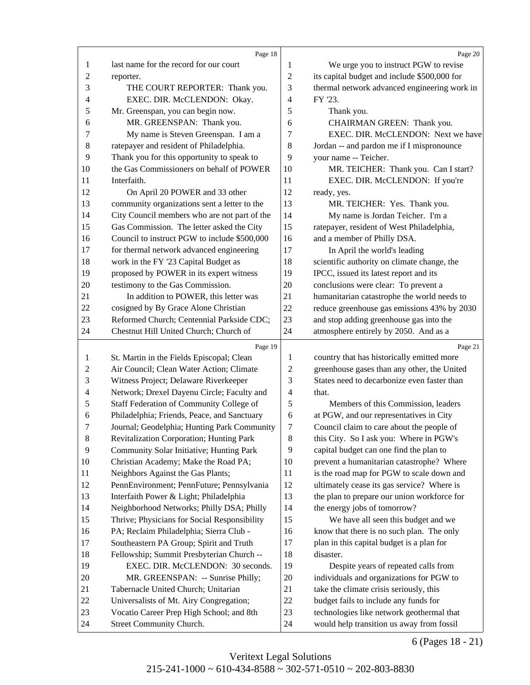<span id="page-5-0"></span>

|                | Page 18                                                                               |                | Page 20                                                                                    |
|----------------|---------------------------------------------------------------------------------------|----------------|--------------------------------------------------------------------------------------------|
| 1              | last name for the record for our court                                                | $\mathbf{1}$   | We urge you to instruct PGW to revise                                                      |
| $\overline{c}$ | reporter.                                                                             | $\sqrt{2}$     | its capital budget and include \$500,000 for                                               |
| 3              | THE COURT REPORTER: Thank you.                                                        | 3              | thermal network advanced engineering work in                                               |
| 4              | EXEC. DIR. McCLENDON: Okay.                                                           | 4              | FY '23.                                                                                    |
| 5              | Mr. Greenspan, you can begin now.                                                     | 5              | Thank you.                                                                                 |
| 6              | MR. GREENSPAN: Thank you.                                                             | 6              | CHAIRMAN GREEN: Thank you.                                                                 |
| 7              | My name is Steven Greenspan. I am a                                                   | 7              | EXEC. DIR. McCLENDON: Next we have                                                         |
| 8              | ratepayer and resident of Philadelphia.                                               | 8              | Jordan -- and pardon me if I mispronounce                                                  |
| 9              | Thank you for this opportunity to speak to                                            | 9              | your name -- Teicher.                                                                      |
| 10             | the Gas Commissioners on behalf of POWER                                              | 10             | MR. TEICHER: Thank you. Can I start?                                                       |
| 11             | Interfaith.                                                                           | 11             | EXEC. DIR. McCLENDON: If you're                                                            |
| 12             | On April 20 POWER and 33 other                                                        | 12             | ready, yes.                                                                                |
| 13             | community organizations sent a letter to the                                          | 13             | MR. TEICHER: Yes. Thank you.                                                               |
| 14             | City Council members who are not part of the                                          | 14             | My name is Jordan Teicher. I'm a                                                           |
| 15             | Gas Commission. The letter asked the City                                             | 15             | ratepayer, resident of West Philadelphia,                                                  |
| 16             | Council to instruct PGW to include \$500,000                                          | 16             | and a member of Philly DSA.                                                                |
| 17             | for thermal network advanced engineering                                              | 17             | In April the world's leading                                                               |
| 18             | work in the FY '23 Capital Budget as                                                  | 18             | scientific authority on climate change, the                                                |
| 19             | proposed by POWER in its expert witness                                               | 19             | IPCC, issued its latest report and its                                                     |
| 20             | testimony to the Gas Commission.                                                      | 20             | conclusions were clear: To prevent a                                                       |
| 21             | In addition to POWER, this letter was                                                 | 21             | humanitarian catastrophe the world needs to                                                |
| 22             | cosigned by By Grace Alone Christian                                                  | 22             | reduce greenhouse gas emissions 43% by 2030                                                |
| 23             | Reformed Church; Centennial Parkside CDC;                                             | 23             | and stop adding greenhouse gas into the                                                    |
| 24             | Chestnut Hill United Church; Church of                                                | 24             | atmosphere entirely by 2050. And as a                                                      |
|                |                                                                                       |                |                                                                                            |
|                |                                                                                       |                |                                                                                            |
| 1              | Page 19                                                                               | $\mathbf{1}$   | Page 21<br>country that has historically emitted more                                      |
| 2              | St. Martin in the Fields Episcopal; Clean<br>Air Council; Clean Water Action; Climate | $\overline{c}$ |                                                                                            |
| 3              | Witness Project; Delaware Riverkeeper                                                 | 3              | greenhouse gases than any other, the United<br>States need to decarbonize even faster than |
| 4              | Network; Drexel Dayenu Circle; Faculty and                                            | 4              | that.                                                                                      |
| 5              | Staff Federation of Community College of                                              | 5              | Members of this Commission, leaders                                                        |
| 6              | Philadelphia; Friends, Peace, and Sanctuary                                           | 6              | at PGW, and our representatives in City                                                    |
| 7              | Journal; Geodelphia; Hunting Park Community                                           | 7              | Council claim to care about the people of                                                  |
| $8\,$          | Revitalization Corporation; Hunting Park                                              | 8              | this City. So I ask you: Where in PGW's                                                    |
| 9              | Community Solar Initiative; Hunting Park                                              | 9              | capital budget can one find the plan to                                                    |
| 10             | Christian Academy; Make the Road PA;                                                  | 10             | prevent a humanitarian catastrophe? Where                                                  |
| 11             | Neighbors Against the Gas Plants;                                                     | 11             | is the road map for PGW to scale down and                                                  |
| 12             | PennEnvironment; PennFuture; Pennsylvania                                             | 12             | ultimately cease its gas service? Where is                                                 |
| 13             | Interfaith Power & Light; Philadelphia                                                | 13             | the plan to prepare our union workforce for                                                |
| 14             | Neighborhood Networks; Philly DSA; Philly                                             | 14             | the energy jobs of tomorrow?                                                               |
| 15             | Thrive; Physicians for Social Responsibility                                          | 15             | We have all seen this budget and we                                                        |
| 16             | PA; Reclaim Philadelphia; Sierra Club -                                               | 16             | know that there is no such plan. The only                                                  |
| 17             | Southeastern PA Group; Spirit and Truth                                               | 17             | plan in this capital budget is a plan for                                                  |
| 18             | Fellowship; Summit Presbyterian Church --                                             | 18             | disaster.                                                                                  |
| 19             | EXEC. DIR. McCLENDON: 30 seconds.                                                     | 19             | Despite years of repeated calls from                                                       |
| 20             | MR. GREENSPAN: -- Sunrise Philly;                                                     | 20             | individuals and organizations for PGW to                                                   |
| 21             | Tabernacle United Church; Unitarian                                                   | 21             | take the climate crisis seriously, this                                                    |
| 22             | Universalists of Mt. Airy Congregation;                                               | $22\,$         | budget fails to include any funds for                                                      |
| 23             | Vocatio Career Prep High School; and 8th                                              | 23             | technologies like network geothermal that                                                  |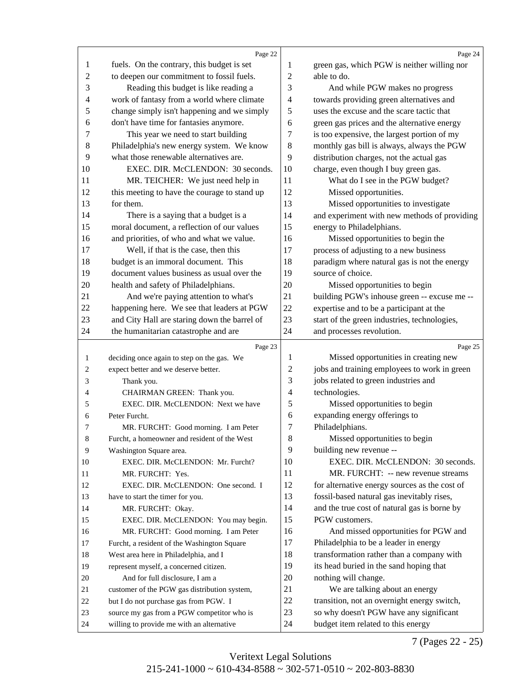<span id="page-6-0"></span>

|                | Page 22                                      |                | Page 24                                                                       |
|----------------|----------------------------------------------|----------------|-------------------------------------------------------------------------------|
| 1              | fuels. On the contrary, this budget is set   | 1              | green gas, which PGW is neither willing nor                                   |
| $\overline{2}$ | to deepen our commitment to fossil fuels.    | $\overline{2}$ | able to do.                                                                   |
| 3              | Reading this budget is like reading a        | 3              | And while PGW makes no progress                                               |
| 4              | work of fantasy from a world where climate   | $\overline{4}$ | towards providing green alternatives and                                      |
| 5              | change simply isn't happening and we simply  | 5              | uses the excuse and the scare tactic that                                     |
| 6              | don't have time for fantasies anymore.       | 6              | green gas prices and the alternative energy                                   |
| 7              | This year we need to start building          | 7              | is too expensive, the largest portion of my                                   |
| 8              | Philadelphia's new energy system. We know    | 8              | monthly gas bill is always, always the PGW                                    |
| 9              | what those renewable alternatives are.       | 9              | distribution charges, not the actual gas                                      |
| 10             | EXEC. DIR. McCLENDON: 30 seconds.            | 10             | charge, even though I buy green gas.                                          |
| 11             | MR. TEICHER: We just need help in            | 11             | What do I see in the PGW budget?                                              |
| 12             | this meeting to have the courage to stand up | 12             | Missed opportunities.                                                         |
| 13             | for them.                                    | 13             | Missed opportunities to investigate                                           |
| 14             | There is a saying that a budget is a         | 14             | and experiment with new methods of providing                                  |
| 15             | moral document, a reflection of our values   | 15             | energy to Philadelphians.                                                     |
| 16             | and priorities, of who and what we value.    | 16             | Missed opportunities to begin the                                             |
| 17             | Well, if that is the case, then this         | 17             | process of adjusting to a new business                                        |
| 18             | budget is an immoral document. This          | 18             | paradigm where natural gas is not the energy                                  |
| 19             | document values business as usual over the   | 19             | source of choice.                                                             |
| 20             | health and safety of Philadelphians.         | 20             | Missed opportunities to begin                                                 |
| 21             | And we're paying attention to what's         | 21             | building PGW's inhouse green -- excuse me --                                  |
| 22             | happening here. We see that leaders at PGW   | 22             | expertise and to be a participant at the                                      |
| 23             | and City Hall are staring down the barrel of | 23             | start of the green industries, technologies,                                  |
| 24             | the humanitarian catastrophe and are         | 24             | and processes revolution.                                                     |
|                |                                              |                |                                                                               |
|                |                                              |                |                                                                               |
|                | Page 23                                      |                | Page 25                                                                       |
| $\mathbf{1}$   | deciding once again to step on the gas. We   | 1              | Missed opportunities in creating new                                          |
| $\overline{c}$ | expect better and we deserve better.         | $\overline{c}$ | jobs and training employees to work in green                                  |
| 3              | Thank you.                                   | 3              | jobs related to green industries and                                          |
| 4              | CHAIRMAN GREEN: Thank you.                   | 4              | technologies.                                                                 |
| 5              | EXEC. DIR. McCLENDON: Next we have           | 5              | Missed opportunities to begin                                                 |
| 6              | Peter Furcht.                                | 6              | expanding energy offerings to                                                 |
| 7              | MR. FURCHT: Good morning. I am Peter         | 7              | Philadelphians.                                                               |
| $\,8\,$        | Furcht, a homeowner and resident of the West | 8              | Missed opportunities to begin                                                 |
| $\overline{9}$ | Washington Square area.                      | 9              | building new revenue --                                                       |
| 10             | EXEC. DIR. McCLENDON: Mr. Furcht?            | 10             | EXEC. DIR. McCLENDON: 30 seconds.                                             |
| 11             | MR. FURCHT: Yes.                             | 11             | MR. FURCHT: -- new revenue streams                                            |
| 12             | EXEC. DIR. McCLENDON: One second. I          | 12             | for alternative energy sources as the cost of                                 |
| 13             | have to start the timer for you.             | 13             | fossil-based natural gas inevitably rises,                                    |
| 14             | MR. FURCHT: Okay.                            | 14             | and the true cost of natural gas is borne by                                  |
| 15             | EXEC. DIR. McCLENDON: You may begin.         | 15             | PGW customers.                                                                |
| 16             | MR. FURCHT: Good morning. I am Peter         | 16             | And missed opportunities for PGW and                                          |
| 17             | Furcht, a resident of the Washington Square  | 17             | Philadelphia to be a leader in energy                                         |
| 18             | West area here in Philadelphia, and I        | 18             | transformation rather than a company with                                     |
| 19             | represent myself, a concerned citizen.       | 19             | its head buried in the sand hoping that                                       |
| 20             | And for full disclosure, I am a              | 20             | nothing will change.                                                          |
| 21             | customer of the PGW gas distribution system, | 21             | We are talking about an energy                                                |
| $22\,$         | but I do not purchase gas from PGW. I        | $22\,$         | transition, not an overnight energy switch,                                   |
| 23             | source my gas from a PGW competitor who is   | 23<br>24       | so why doesn't PGW have any significant<br>budget item related to this energy |

7 (Pages 22 - 25)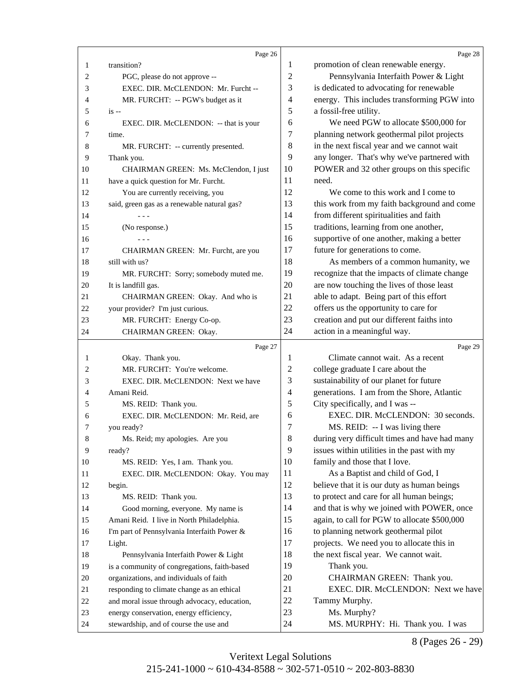<span id="page-7-0"></span>

|                | Page 26                                            |                | Page 28                                       |
|----------------|----------------------------------------------------|----------------|-----------------------------------------------|
| 1              | transition?                                        | 1              | promotion of clean renewable energy.          |
| 2              | PGC, please do not approve --                      | $\overline{c}$ | Pennsylvania Interfaith Power & Light         |
| 3              | EXEC. DIR. McCLENDON: Mr. Furcht --                | 3              | is dedicated to advocating for renewable      |
| 4              | MR. FURCHT: -- PGW's budget as it                  | 4              | energy. This includes transforming PGW into   |
| 5              | $is -$                                             | 5              | a fossil-free utility.                        |
| 6              | EXEC. DIR. McCLENDON: -- that is your              | 6              | We need PGW to allocate \$500,000 for         |
| 7              | time.                                              | 7              | planning network geothermal pilot projects    |
| 8              | MR. FURCHT: -- currently presented.                | 8              | in the next fiscal year and we cannot wait    |
| 9              | Thank you.                                         | 9              | any longer. That's why we've partnered with   |
| 10             | CHAIRMAN GREEN: Ms. McClendon, I just              | 10             | POWER and 32 other groups on this specific    |
| 11             | have a quick question for Mr. Furcht.              | 11             | need.                                         |
| 12             | You are currently receiving, you                   | 12             | We come to this work and I come to            |
| 13             | said, green gas as a renewable natural gas?        | 13             | this work from my faith background and come   |
| 14             |                                                    | 14             | from different spiritualities and faith       |
| 15             | (No response.)                                     | 15             | traditions, learning from one another,        |
| 16             |                                                    | 16             | supportive of one another, making a better    |
| 17             | CHAIRMAN GREEN: Mr. Furcht, are you                | 17             | future for generations to come.               |
| 18             | still with us?                                     | 18             | As members of a common humanity, we           |
| 19             | MR. FURCHT: Sorry; somebody muted me.              | 19             | recognize that the impacts of climate change  |
| 20             | It is landfill gas.                                | 20             | are now touching the lives of those least     |
| 21             | CHAIRMAN GREEN: Okay. And who is                   | 21             | able to adapt. Being part of this effort      |
| 22             |                                                    | 22             | offers us the opportunity to care for         |
| 23             | your provider? I'm just curious.                   | 23             | creation and put our different faiths into    |
| 24             | MR. FURCHT: Energy Co-op.<br>CHAIRMAN GREEN: Okay. | 24             | action in a meaningful way.                   |
|                |                                                    |                |                                               |
|                |                                                    |                |                                               |
|                | Page 27                                            |                | Page 29                                       |
| $\mathbf{1}$   | Okay. Thank you.                                   | 1              | Climate cannot wait. As a recent              |
| 2              | MR. FURCHT: You're welcome.                        | 2              | college graduate I care about the             |
| 3              | EXEC. DIR. McCLENDON: Next we have                 | 3              | sustainability of our planet for future       |
| 4              | Amani Reid.                                        | 4              | generations. I am from the Shore, Atlantic    |
| 5              | MS. REID: Thank you.                               | 5              | City specifically, and I was --               |
| 6              | EXEC. DIR. McCLENDON: Mr. Reid, are                | 6              | EXEC. DIR. McCLENDON: 30 seconds.             |
| 7              | you ready?                                         | 7              | MS. REID: -- I was living there               |
| 8              | Ms. Reid; my apologies. Are you                    | $\,8\,$        | during very difficult times and have had many |
| $\overline{9}$ | ready?                                             | $\overline{9}$ | issues within utilities in the past with my   |
| 10             | MS. REID: Yes, I am. Thank you.                    | 10             | family and those that I love.                 |
| 11             | EXEC. DIR. McCLENDON: Okay. You may                | 11             | As a Baptist and child of God, I              |
| 12             | begin.                                             | 12             | believe that it is our duty as human beings   |
| 13             | MS. REID: Thank you.                               | 13             | to protect and care for all human beings;     |
| 14             | Good morning, everyone. My name is                 | 14             | and that is why we joined with POWER, once    |
| 15             | Amani Reid. I live in North Philadelphia.          | 15             | again, to call for PGW to allocate \$500,000  |
| 16             | I'm part of Pennsylvania Interfaith Power &        | 16             | to planning network geothermal pilot          |
| 17             | Light.                                             | 17             | projects. We need you to allocate this in     |
| 18             | Pennsylvania Interfaith Power & Light              | 18             | the next fiscal year. We cannot wait.         |
| 19             | is a community of congregations, faith-based       | 19             | Thank you.                                    |
| 20             | organizations, and individuals of faith            | 20             | CHAIRMAN GREEN: Thank you.                    |
| 21             | responding to climate change as an ethical         | 21             | EXEC. DIR. McCLENDON: Next we have            |
| $22\,$         | and moral issue through advocacy, education,       | 22             | Tammy Murphy.                                 |
| 23             | energy conservation, energy efficiency,            | 23<br>24       | Ms. Murphy?                                   |

8 (Pages 26 - 29)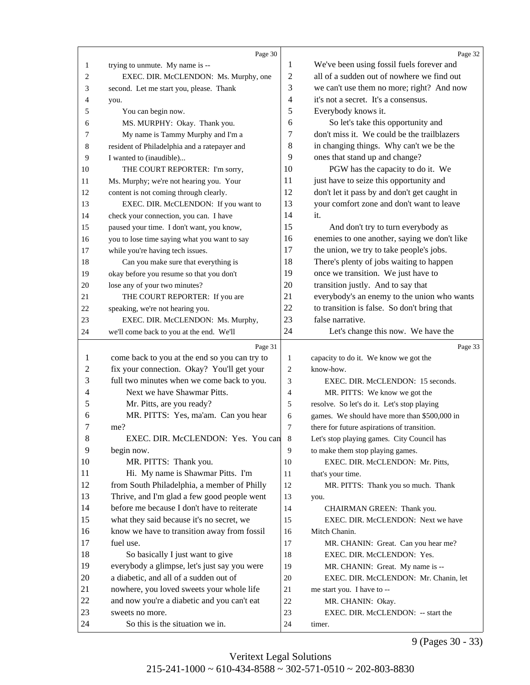<span id="page-8-0"></span>

|                  | Page 30                                            |                | Page 32                                      |
|------------------|----------------------------------------------------|----------------|----------------------------------------------|
| 1                | trying to unmute. My name is --                    | 1              | We've been using fossil fuels forever and    |
| 2                | EXEC. DIR. McCLENDON: Ms. Murphy, one              | $\overline{2}$ | all of a sudden out of nowhere we find out   |
| 3                | second. Let me start you, please. Thank            | 3              | we can't use them no more; right? And now    |
| 4                | you.                                               | $\overline{4}$ | it's not a secret. It's a consensus.         |
| 5                | You can begin now.                                 | 5              | Everybody knows it.                          |
| 6                | MS. MURPHY: Okay. Thank you.                       | 6              | So let's take this opportunity and           |
| 7                | My name is Tammy Murphy and I'm a                  | 7              | don't miss it. We could be the trailblazers  |
| 8                | resident of Philadelphia and a ratepayer and       | 8              | in changing things. Why can't we be the      |
| 9                | I wanted to (inaudible)                            | 9              | ones that stand up and change?               |
| 10               | THE COURT REPORTER: I'm sorry,                     | 10             | PGW has the capacity to do it. We            |
| 11               | Ms. Murphy; we're not hearing you. Your            | 11             | just have to seize this opportunity and      |
| 12               | content is not coming through clearly.             | 12             | don't let it pass by and don't get caught in |
| 13               | EXEC. DIR. McCLENDON: If you want to               | 13             | your comfort zone and don't want to leave    |
| 14               | check your connection, you can. I have             | 14             | it.                                          |
| 15               | paused your time. I don't want, you know,          | 15             | And don't try to turn everybody as           |
| 16               | you to lose time saying what you want to say       | 16             | enemies to one another, saying we don't like |
| 17               | while you're having tech issues.                   | 17             | the union, we try to take people's jobs.     |
| 18               | Can you make sure that everything is               | 18             | There's plenty of jobs waiting to happen     |
| 19               | okay before you resume so that you don't           | 19             | once we transition. We just have to          |
| 20               | lose any of your two minutes?                      | 20             | transition justly. And to say that           |
| 21               | THE COURT REPORTER: If you are                     | 21             | everybody's an enemy to the union who wants  |
| 22               | speaking, we're not hearing you.                   | 22             | to transition is false. So don't bring that  |
| 23               | EXEC. DIR. McCLENDON: Ms. Murphy,                  | 23             | false narrative.                             |
| 24               | we'll come back to you at the end. We'll           | 24             | Let's change this now. We have the           |
|                  |                                                    |                |                                              |
|                  |                                                    |                |                                              |
|                  | Page 31                                            |                | Page 33                                      |
| 1                | come back to you at the end so you can try to      | $\mathbf{1}$   | capacity to do it. We know we got the        |
| $\boldsymbol{2}$ | fix your connection. Okay? You'll get your         | $\overline{c}$ | know-how.                                    |
| 3                | full two minutes when we come back to you.         | 3              | EXEC. DIR. McCLENDON: 15 seconds.            |
| 4                | Next we have Shawmar Pitts.                        | $\overline{4}$ | MR. PITTS: We know we got the                |
| 5                | Mr. Pitts, are you ready?                          | 5              | resolve. So let's do it. Let's stop playing  |
| 6                | MR. PITTS: Yes, ma'am. Can you hear                | 6              | games. We should have more than \$500,000 in |
| 7                | me?                                                | 7              | there for future aspirations of transition.  |
| 8                | EXEC. DIR. McCLENDON: Yes. You can 8               |                | Let's stop playing games. City Council has   |
| $\overline{9}$   | begin now.                                         | 9              | to make them stop playing games.             |
| 10               | MR. PITTS: Thank you.                              | 10             | EXEC. DIR. McCLENDON: Mr. Pitts,             |
| 11               | Hi. My name is Shawmar Pitts. I'm                  | 11             | that's your time.                            |
| 12               | from South Philadelphia, a member of Philly        | 12             | MR. PITTS: Thank you so much. Thank          |
| 13               | Thrive, and I'm glad a few good people went        | 13             | you.                                         |
| 14               | before me because I don't have to reiterate        | 14             | CHAIRMAN GREEN: Thank you.                   |
| 15               | what they said because it's no secret, we          | 15             | EXEC. DIR. McCLENDON: Next we have           |
| 16               | know we have to transition away from fossil        | 16             | Mitch Chanin.                                |
| 17               | fuel use.                                          | 17             | MR. CHANIN: Great. Can you hear me?          |
| 18               | So basically I just want to give                   | 18             | EXEC. DIR. McCLENDON: Yes.                   |
| 19               | everybody a glimpse, let's just say you were       | 19             | MR. CHANIN: Great. My name is --             |
| 20               | a diabetic, and all of a sudden out of             | 20             | EXEC. DIR. McCLENDON: Mr. Chanin, let        |
| 21               | nowhere, you loved sweets your whole life          | 21             | me start you. I have to --                   |
| 22               | and now you're a diabetic and you can't eat        | $22\,$         | MR. CHANIN: Okay.                            |
| 23<br>24         | sweets no more.<br>So this is the situation we in. | 23<br>24       | EXEC. DIR. McCLENDON: -- start the           |

9 (Pages 30 - 33)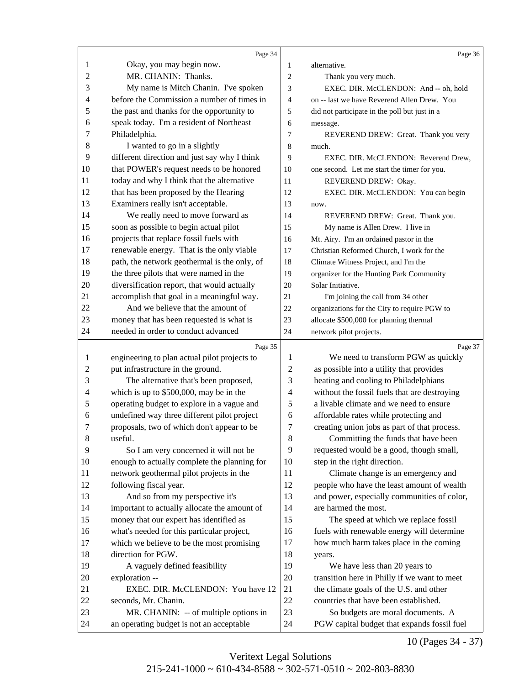<span id="page-9-0"></span>

|          | Page 34                                                                                 |                | Page 36                                                                          |
|----------|-----------------------------------------------------------------------------------------|----------------|----------------------------------------------------------------------------------|
| 1        | Okay, you may begin now.                                                                | 1              | alternative.                                                                     |
| 2        | MR. CHANIN: Thanks.                                                                     | $\overline{c}$ | Thank you very much.                                                             |
| 3        | My name is Mitch Chanin. I've spoken                                                    | 3              | EXEC. DIR. McCLENDON: And -- oh, hold                                            |
| 4        | before the Commission a number of times in                                              | $\overline{4}$ | on -- last we have Reverend Allen Drew. You                                      |
| 5        | the past and thanks for the opportunity to                                              | 5              | did not participate in the poll but just in a                                    |
| 6        | speak today. I'm a resident of Northeast                                                | 6              | message.                                                                         |
| 7        | Philadelphia.                                                                           | 7              | REVEREND DREW: Great. Thank you very                                             |
| 8        | I wanted to go in a slightly                                                            | 8              | much.                                                                            |
| 9        | different direction and just say why I think                                            | 9              | EXEC. DIR. McCLENDON: Reverend Drew,                                             |
| 10       | that POWER's request needs to be honored                                                | 10             | one second. Let me start the timer for you.                                      |
| 11       | today and why I think that the alternative                                              | 11             | REVEREND DREW: Okay.                                                             |
| 12       | that has been proposed by the Hearing                                                   | 12             | EXEC. DIR. McCLENDON: You can begin                                              |
| 13       | Examiners really isn't acceptable.                                                      | 13             | now.                                                                             |
| 14       | We really need to move forward as                                                       | 14             | REVEREND DREW: Great. Thank you.                                                 |
| 15       | soon as possible to begin actual pilot                                                  | 15             | My name is Allen Drew. I live in                                                 |
| 16       | projects that replace fossil fuels with                                                 | 16             | Mt. Airy. I'm an ordained pastor in the                                          |
| 17       | renewable energy. That is the only viable                                               | 17             | Christian Reformed Church, I work for the                                        |
| 18       | path, the network geothermal is the only, of                                            | 18             | Climate Witness Project, and I'm the                                             |
| 19       | the three pilots that were named in the                                                 | 19             | organizer for the Hunting Park Community                                         |
| 20       | diversification report, that would actually                                             | 20             | Solar Initiative.                                                                |
| 21       | accomplish that goal in a meaningful way.                                               | 21             | I'm joining the call from 34 other                                               |
| 22       | And we believe that the amount of                                                       | 22             | organizations for the City to require PGW to                                     |
| 23       | money that has been requested is what is                                                | 23             | allocate \$500,000 for planning thermal                                          |
| 24       | needed in order to conduct advanced                                                     | 24             | network pilot projects.                                                          |
|          |                                                                                         |                |                                                                                  |
| 1        | Page 35<br>engineering to plan actual pilot projects to                                 | 1              | Page 37<br>We need to transform PGW as quickly                                   |
| 2        | put infrastructure in the ground.                                                       | $\sqrt{2}$     | as possible into a utility that provides                                         |
| 3        | The alternative that's been proposed,                                                   | $\mathfrak{Z}$ | heating and cooling to Philadelphians                                            |
| 4        |                                                                                         | $\overline{4}$ | without the fossil fuels that are destroying                                     |
|          | which is up to $$500,000$ , may be in the<br>operating budget to explore in a vague and |                | a livable climate and we need to ensure                                          |
| 5        |                                                                                         | 5<br>6         |                                                                                  |
| 6        | undefined way three different pilot project                                             |                | affordable rates while protecting and                                            |
| 7        | proposals, two of which don't appear to be                                              | 7              | creating union jobs as part of that process.                                     |
| 8        | useful.                                                                                 | 8              | Committing the funds that have been                                              |
| 9        | So I am very concerned it will not be                                                   | 9              | requested would be a good, though small,                                         |
| 10       | enough to actually complete the planning for                                            | 10             | step in the right direction.                                                     |
| 11       | network geothermal pilot projects in the                                                | 11             | Climate change is an emergency and                                               |
| 12       | following fiscal year.                                                                  | 12             | people who have the least amount of wealth                                       |
| 13       | And so from my perspective it's                                                         | 13             | and power, especially communities of color,                                      |
| 14       | important to actually allocate the amount of                                            | 14             | are harmed the most.                                                             |
| 15       | money that our expert has identified as                                                 | 15             | The speed at which we replace fossil                                             |
| 16       | what's needed for this particular project,                                              | 16             | fuels with renewable energy will determine                                       |
| 17       | which we believe to be the most promising                                               | 17             | how much harm takes place in the coming                                          |
|          | direction for PGW.                                                                      | 18             | years.                                                                           |
| 18       | A vaguely defined feasibility                                                           | 19             | We have less than 20 years to                                                    |
| 19       | exploration --                                                                          | 20             | transition here in Philly if we want to meet                                     |
| 20       | EXEC. DIR. McCLENDON: You have 12                                                       | 21             |                                                                                  |
| 21       |                                                                                         |                | the climate goals of the U.S. and other                                          |
| 22       | seconds, Mr. Chanin.                                                                    | 22             | countries that have been established.                                            |
| 23<br>24 | MR. CHANIN: -- of multiple options in<br>an operating budget is not an acceptable       | 23<br>24       | So budgets are moral documents. A<br>PGW capital budget that expands fossil fuel |

10 (Pages 34 - 37)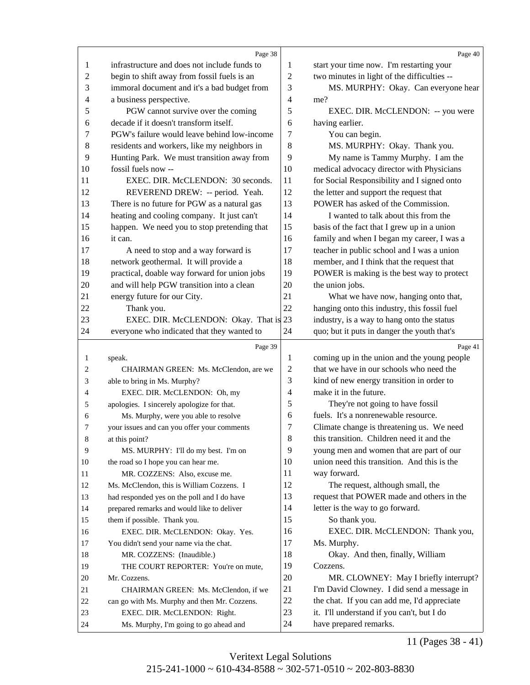<span id="page-10-0"></span>

|                | Page 38                                                               |                  | Page 40                                                              |
|----------------|-----------------------------------------------------------------------|------------------|----------------------------------------------------------------------|
| 1              | infrastructure and does not include funds to                          | 1                | start your time now. I'm restarting your                             |
| $\overline{c}$ | begin to shift away from fossil fuels is an                           | $\sqrt{2}$       | two minutes in light of the difficulties --                          |
| 3              | immoral document and it's a bad budget from                           | 3                | MS. MURPHY: Okay. Can everyone hear                                  |
| 4              | a business perspective.                                               | $\overline{4}$   | me?                                                                  |
| 5              | PGW cannot survive over the coming                                    | 5                | EXEC. DIR. McCLENDON: -- you were                                    |
| 6              | decade if it doesn't transform itself.                                | 6                | having earlier.                                                      |
| 7              | PGW's failure would leave behind low-income                           | 7                | You can begin.                                                       |
| 8              | residents and workers, like my neighbors in                           | 8                | MS. MURPHY: Okay. Thank you.                                         |
| 9              | Hunting Park. We must transition away from                            | 9                | My name is Tammy Murphy. I am the                                    |
| 10             | fossil fuels now --                                                   | 10               | medical advocacy director with Physicians                            |
| 11             | EXEC. DIR. McCLENDON: 30 seconds.                                     | 11               | for Social Responsibility and I signed onto                          |
| 12             | REVEREND DREW: -- period. Yeah.                                       | 12               | the letter and support the request that                              |
| 13             | There is no future for PGW as a natural gas                           | 13               | POWER has asked of the Commission.                                   |
| 14             | heating and cooling company. It just can't                            | 14               | I wanted to talk about this from the                                 |
| 15             | happen. We need you to stop pretending that                           | 15               | basis of the fact that I grew up in a union                          |
| 16             | it can.                                                               | 16               | family and when I began my career, I was a                           |
| 17             | A need to stop and a way forward is                                   | 17               | teacher in public school and I was a union                           |
| 18             | network geothermal. It will provide a                                 | 18               | member, and I think that the request that                            |
| 19             | practical, doable way forward for union jobs                          | 19               | POWER is making is the best way to protect                           |
| $20\,$         | and will help PGW transition into a clean                             | 20               | the union jobs.                                                      |
| 21             | energy future for our City.                                           | 21               | What we have now, hanging onto that,                                 |
| 22             | Thank you.                                                            | 22               | hanging onto this industry, this fossil fuel                         |
| 23             | EXEC. DIR. McCLENDON: Okay. That is 23                                |                  | industry, is a way to hang onto the status                           |
| 24             | everyone who indicated that they wanted to                            | 24               | quo; but it puts in danger the youth that's                          |
|                |                                                                       |                  |                                                                      |
|                |                                                                       |                  |                                                                      |
|                | Page 39                                                               |                  | Page 41                                                              |
| $\mathbf{1}$   | speak.                                                                | 1                | coming up in the union and the young people                          |
| 2              | CHAIRMAN GREEN: Ms. McClendon, are we                                 | $\boldsymbol{2}$ | that we have in our schools who need the                             |
| 3              | able to bring in Ms. Murphy?                                          | 3                | kind of new energy transition in order to                            |
| 4              | EXEC. DIR. McCLENDON: Oh, my                                          | $\overline{4}$   | make it in the future.                                               |
| 5              | apologies. I sincerely apologize for that.                            | 5                | They're not going to have fossil                                     |
| 6              | Ms. Murphy, were you able to resolve                                  | 6                | fuels. It's a nonrenewable resource.                                 |
| 7              | your issues and can you offer your comments                           | 7                | Climate change is threatening us. We need                            |
| $8\phantom{1}$ | at this point?                                                        | 8                | this transition. Children need it and the                            |
| 9              | MS. MURPHY: I'll do my best. I'm on                                   | 9                | young men and women that are part of our                             |
| 10             | the road so I hope you can hear me.                                   | 10               | union need this transition. And this is the                          |
| 11             | MR. COZZENS: Also, excuse me.                                         | 11               | way forward.                                                         |
| 12             | Ms. McClendon, this is William Cozzens. I                             | 12               | The request, although small, the                                     |
| 13             | had responded yes on the poll and I do have                           | 13               | request that POWER made and others in the                            |
| 14             | prepared remarks and would like to deliver                            | 14               | letter is the way to go forward.                                     |
| 15             | them if possible. Thank you.                                          | 15               | So thank you.                                                        |
| 16             | EXEC. DIR. McCLENDON: Okay. Yes.                                      | 16               | EXEC. DIR. McCLENDON: Thank you,                                     |
| 17             | You didn't send your name via the chat.                               | 17               | Ms. Murphy.                                                          |
| 18             | MR. COZZENS: (Inaudible.)                                             | 18               | Okay. And then, finally, William                                     |
| 19             | THE COURT REPORTER: You're on mute,                                   | 19               | Cozzens.                                                             |
| 20             | Mr. Cozzens.                                                          | 20               | MR. CLOWNEY: May I briefly interrupt?                                |
| 21             | CHAIRMAN GREEN: Ms. McClendon, if we                                  | 21               | I'm David Clowney. I did send a message in                           |
| 22             | can go with Ms. Murphy and then Mr. Cozzens.                          | 22               | the chat. If you can add me, I'd appreciate                          |
| 23<br>24       | EXEC. DIR. McCLENDON: Right.<br>Ms. Murphy, I'm going to go ahead and | 23<br>24         | it. I'll understand if you can't, but I do<br>have prepared remarks. |

11 (Pages 38 - 41)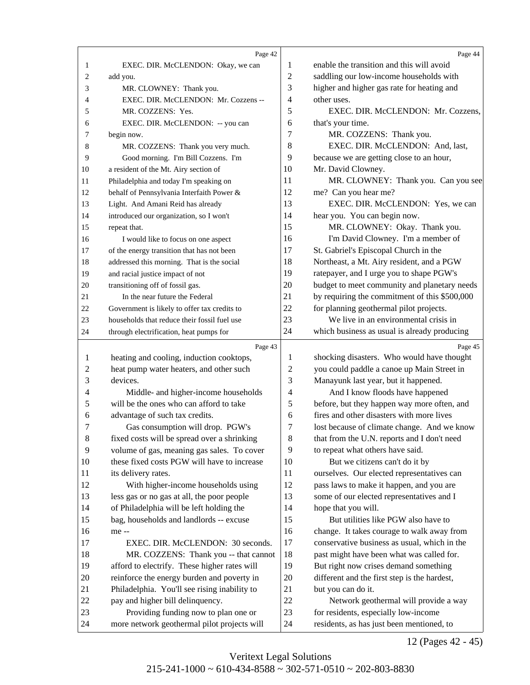<span id="page-11-0"></span>

|                | Page 42                                                                             |                | Page 44                                                                           |
|----------------|-------------------------------------------------------------------------------------|----------------|-----------------------------------------------------------------------------------|
| $\mathbf{1}$   | EXEC. DIR. McCLENDON: Okay, we can                                                  | 1              | enable the transition and this will avoid                                         |
| $\overline{c}$ | add you.                                                                            | $\overline{2}$ | saddling our low-income households with                                           |
| 3              | MR. CLOWNEY: Thank you.                                                             | 3              | higher and higher gas rate for heating and                                        |
| 4              | EXEC. DIR. McCLENDON: Mr. Cozzens --                                                | 4              | other uses.                                                                       |
| 5              | MR. COZZENS: Yes.                                                                   | 5              | EXEC. DIR. McCLENDON: Mr. Cozzens,                                                |
| 6              | EXEC. DIR. McCLENDON: -- you can                                                    | 6              | that's your time.                                                                 |
| 7              | begin now.                                                                          | 7              | MR. COZZENS: Thank you.                                                           |
| 8              | MR. COZZENS: Thank you very much.                                                   | 8              | EXEC. DIR. McCLENDON: And, last,                                                  |
| 9              | Good morning. I'm Bill Cozzens. I'm                                                 | 9              | because we are getting close to an hour,                                          |
| 10             | a resident of the Mt. Airy section of                                               | 10             | Mr. David Clowney.                                                                |
| 11             | Philadelphia and today I'm speaking on                                              | 11             | MR. CLOWNEY: Thank you. Can you see                                               |
| 12             | behalf of Pennsylvania Interfaith Power &                                           | 12             | me? Can you hear me?                                                              |
| 13             | Light. And Amani Reid has already                                                   | 13             | EXEC. DIR. McCLENDON: Yes, we can                                                 |
| 14             | introduced our organization, so I won't                                             | 14             | hear you. You can begin now.                                                      |
| 15             | repeat that.                                                                        | 15             | MR. CLOWNEY: Okay. Thank you.                                                     |
| 16             | I would like to focus on one aspect                                                 | 16             | I'm David Clowney. I'm a member of                                                |
| 17             | of the energy transition that has not been                                          | 17             | St. Gabriel's Episcopal Church in the                                             |
| 18             | addressed this morning. That is the social                                          | 18             | Northeast, a Mt. Airy resident, and a PGW                                         |
|                | and racial justice impact of not                                                    | 19             | ratepayer, and I urge you to shape PGW's                                          |
| 19             | transitioning off of fossil gas.                                                    | 20             | budget to meet community and planetary needs                                      |
| 20<br>21       | In the near future the Federal                                                      | 21             | by requiring the commitment of this \$500,000                                     |
| 22             | Government is likely to offer tax credits to                                        | 22             | for planning geothermal pilot projects.                                           |
| 23             | households that reduce their fossil fuel use                                        | 23             | We live in an environmental crisis in                                             |
| 24             |                                                                                     | 24             | which business as usual is already producing                                      |
|                | through electrification, heat pumps for                                             |                |                                                                                   |
|                |                                                                                     |                |                                                                                   |
|                | Page 43                                                                             |                | Page 45                                                                           |
| 1              | heating and cooling, induction cooktops,                                            | 1              | shocking disasters. Who would have thought                                        |
| $\overline{2}$ | heat pump water heaters, and other such                                             | $\overline{c}$ | you could paddle a canoe up Main Street in                                        |
| 3              | devices.                                                                            | 3              | Manayunk last year, but it happened.                                              |
| 4              | Middle- and higher-income households                                                | 4              | And I know floods have happened                                                   |
| 5              | will be the ones who can afford to take                                             | 5              | before, but they happen way more often, and                                       |
| 6              | advantage of such tax credits.                                                      | 6              | fires and other disasters with more lives                                         |
| 7              | Gas consumption will drop. PGW's                                                    | 7              | lost because of climate change. And we know                                       |
| $\,8\,$        | fixed costs will be spread over a shrinking                                         | 8              | that from the U.N. reports and I don't need                                       |
| 9              | volume of gas, meaning gas sales. To cover                                          | 9              | to repeat what others have said.                                                  |
| 10             | these fixed costs PGW will have to increase                                         | 10             | But we citizens can't do it by                                                    |
| 11             | its delivery rates.                                                                 | 11             | ourselves. Our elected representatives can                                        |
| 12             | With higher-income households using                                                 | 12             | pass laws to make it happen, and you are                                          |
| 13             | less gas or no gas at all, the poor people                                          | 13             | some of our elected representatives and I                                         |
| 14             | of Philadelphia will be left holding the                                            | 14             | hope that you will.                                                               |
| 15             | bag, households and landlords -- excuse                                             | 15             | But utilities like PGW also have to                                               |
| 16             | me --                                                                               | 16             | change. It takes courage to walk away from                                        |
| 17             | EXEC. DIR. McCLENDON: 30 seconds.                                                   | 17             | conservative business as usual, which in the                                      |
| 18             | MR. COZZENS: Thank you -- that cannot                                               | 18             | past might have been what was called for.                                         |
| 19             | afford to electrify. These higher rates will                                        | 19             | But right now crises demand something                                             |
| 20             | reinforce the energy burden and poverty in                                          | 20             | different and the first step is the hardest,                                      |
| 21             | Philadelphia. You'll see rising inability to                                        | 21             | but you can do it.                                                                |
| 22             | pay and higher bill delinquency.                                                    | 22             | Network geothermal will provide a way                                             |
| 23<br>24       | Providing funding now to plan one or<br>more network geothermal pilot projects will | 23<br>$24\,$   | for residents, especially low-income<br>residents, as has just been mentioned, to |

12 (Pages 42 - 45)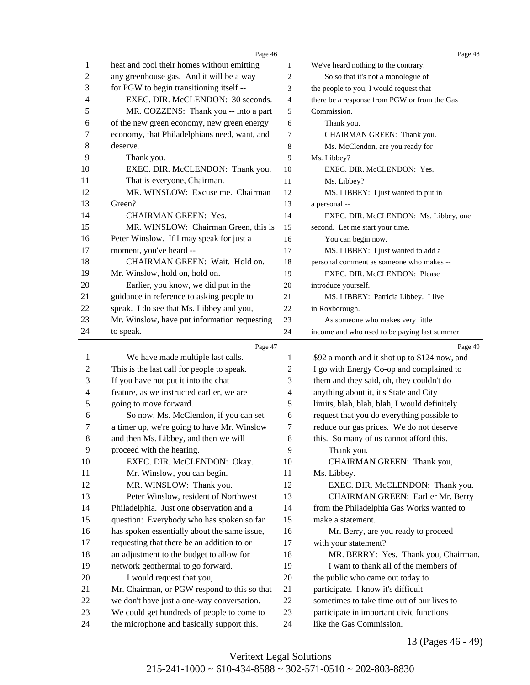<span id="page-12-0"></span>

|                  | Page 46                                      |                | Page 48                                                                       |
|------------------|----------------------------------------------|----------------|-------------------------------------------------------------------------------|
| 1                | heat and cool their homes without emitting   | $\mathbf{1}$   | We've heard nothing to the contrary.                                          |
| $\boldsymbol{2}$ | any greenhouse gas. And it will be a way     | $\overline{c}$ | So so that it's not a monologue of                                            |
| 3                | for PGW to begin transitioning itself --     | 3              | the people to you, I would request that                                       |
| 4                | EXEC. DIR. McCLENDON: 30 seconds.            | $\overline{4}$ | there be a response from PGW or from the Gas                                  |
| 5                | MR. COZZENS: Thank you -- into a part        | 5              | Commission.                                                                   |
| 6                | of the new green economy, new green energy   | 6              | Thank you.                                                                    |
| 7                | economy, that Philadelphians need, want, and | 7              | CHAIRMAN GREEN: Thank you.                                                    |
| 8                | deserve.                                     | 8              | Ms. McClendon, are you ready for                                              |
| 9                | Thank you.                                   | 9              | Ms. Libbey?                                                                   |
| 10               | EXEC. DIR. McCLENDON: Thank you.             | 10             | EXEC. DIR. McCLENDON: Yes.                                                    |
| 11               | That is everyone, Chairman.                  | 11             | Ms. Libbey?                                                                   |
| 12               | MR. WINSLOW: Excuse me. Chairman             | 12             | MS. LIBBEY: I just wanted to put in                                           |
| 13               | Green?                                       | 13             | a personal --                                                                 |
| 14               | <b>CHAIRMAN GREEN: Yes.</b>                  | 14             | EXEC. DIR. McCLENDON: Ms. Libbey, one                                         |
| 15               | MR. WINSLOW: Chairman Green, this is         | 15             | second. Let me start your time.                                               |
| 16               | Peter Winslow. If I may speak for just a     | 16             | You can begin now.                                                            |
| 17               | moment, you've heard --                      | 17             | MS. LIBBEY: I just wanted to add a                                            |
| 18               | CHAIRMAN GREEN: Wait. Hold on.               | 18             | personal comment as someone who makes --                                      |
| 19               | Mr. Winslow, hold on, hold on.               | 19             | EXEC. DIR. McCLENDON: Please                                                  |
| 20               | Earlier, you know, we did put in the         | 20             | introduce yourself.                                                           |
| 21               | guidance in reference to asking people to    | 21             |                                                                               |
| 22               | speak. I do see that Ms. Libbey and you,     | 22             | MS. LIBBEY: Patricia Libbey. I live<br>in Roxborough.                         |
| 23               | Mr. Winslow, have put information requesting | 23             |                                                                               |
| 24               | to speak.                                    |                | As someone who makes very little                                              |
|                  |                                              | 24             | income and who used to be paying last summer                                  |
|                  | Page 47                                      |                | Page 49                                                                       |
| 1                | We have made multiple last calls.            | 1              | \$92 a month and it shot up to \$124 now, and                                 |
| 2                | This is the last call for people to speak.   | $\overline{c}$ | I go with Energy Co-op and complained to                                      |
| 3                | If you have not put it into the chat         | 3              | them and they said, oh, they couldn't do                                      |
| 4                | feature, as we instructed earlier, we are    | $\overline{4}$ | anything about it, it's State and City                                        |
| 5                | going to move forward.                       | 5              | limits, blah, blah, blah, I would definitely                                  |
| 6                | So now, Ms. McClendon, if you can set        | 6              | request that you do everything possible to                                    |
| 7                | a timer up, we're going to have Mr. Winslow  | $\overline{7}$ | reduce our gas prices. We do not deserve                                      |
| 8                | and then Ms. Libbey, and then we will        | $8\,$          | this. So many of us cannot afford this.                                       |
| 9                | proceed with the hearing.                    | 9              | Thank you.                                                                    |
| 10               | EXEC. DIR. McCLENDON: Okay.                  | 10             | CHAIRMAN GREEN: Thank you,                                                    |
| 11               | Mr. Winslow, you can begin.                  | 11             | Ms. Libbey.                                                                   |
| 12               | MR. WINSLOW: Thank you.                      | 12             | EXEC. DIR. McCLENDON: Thank you.                                              |
| 13               | Peter Winslow, resident of Northwest         | 13             | CHAIRMAN GREEN: Earlier Mr. Berry                                             |
| 14               | Philadelphia. Just one observation and a     | 14             | from the Philadelphia Gas Works wanted to                                     |
| 15               |                                              |                |                                                                               |
| 16               | question: Everybody who has spoken so far    | 15             | make a statement.                                                             |
|                  | has spoken essentially about the same issue, | 16             | Mr. Berry, are you ready to proceed                                           |
| 17               | requesting that there be an addition to or   | 17             | with your statement?                                                          |
| 18               | an adjustment to the budget to allow for     | 18             |                                                                               |
| 19               | network geothermal to go forward.            | 19             | MR. BERRY: Yes. Thank you, Chairman.<br>I want to thank all of the members of |
| 20               | I would request that you,                    | 20             | the public who came out today to                                              |
| 21               | Mr. Chairman, or PGW respond to this so that | 21             | participate. I know it's difficult                                            |
| 22               | we don't have just a one-way conversation.   | 22             | sometimes to take time out of our lives to                                    |
| 23               | We could get hundreds of people to come to   | 23             | participate in important civic functions                                      |

13 (Pages 46 - 49)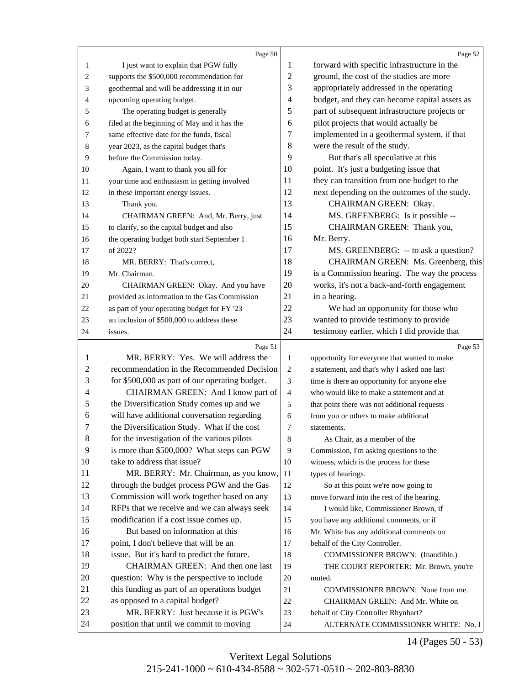<span id="page-13-0"></span>

|                  | Page 50                                                                        |                | Page 52                                                                    |
|------------------|--------------------------------------------------------------------------------|----------------|----------------------------------------------------------------------------|
| 1                | I just want to explain that PGW fully                                          | 1              | forward with specific infrastructure in the                                |
| $\overline{c}$   | supports the \$500,000 recommendation for                                      | $\overline{2}$ | ground, the cost of the studies are more                                   |
| 3                | geothermal and will be addressing it in our                                    | 3              | appropriately addressed in the operating                                   |
| 4                | upcoming operating budget.                                                     | 4              | budget, and they can become capital assets as                              |
| 5                | The operating budget is generally                                              | 5              | part of subsequent infrastructure projects or                              |
| 6                | filed at the beginning of May and it has the                                   | 6              | pilot projects that would actually be                                      |
| 7                | same effective date for the funds, fiscal                                      | 7              | implemented in a geothermal system, if that                                |
| 8                | year 2023, as the capital budget that's                                        | 8              | were the result of the study.                                              |
| 9                | before the Commission today.                                                   | 9              | But that's all speculative at this                                         |
| 10               | Again, I want to thank you all for                                             | 10             | point. It's just a budgeting issue that                                    |
| 11               | your time and enthusiasm in getting involved                                   | 11             | they can transition from one budget to the                                 |
| 12               | in these important energy issues.                                              | 12             | next depending on the outcomes of the study.                               |
| 13               | Thank you.                                                                     | 13             | CHAIRMAN GREEN: Okay.                                                      |
| 14               | CHAIRMAN GREEN: And, Mr. Berry, just                                           | 14             | MS. GREENBERG: Is it possible --                                           |
| 15               | to clarify, so the capital budget and also                                     | 15             | CHAIRMAN GREEN: Thank you,                                                 |
| 16               | the operating budget both start September 1                                    | 16             | Mr. Berry.                                                                 |
| 17               | of 2022?                                                                       | 17             | MS. GREENBERG: -- to ask a question?                                       |
| 18               | MR. BERRY: That's correct,                                                     | 18             | CHAIRMAN GREEN: Ms. Greenberg, this                                        |
| 19               | Mr. Chairman.                                                                  | 19             | is a Commission hearing. The way the process                               |
| 20               | CHAIRMAN GREEN: Okay. And you have                                             | 20             | works, it's not a back-and-forth engagement                                |
| 21               | provided as information to the Gas Commission                                  | 21             | in a hearing.                                                              |
| 22               | as part of your operating budget for FY '23                                    | 22             | We had an opportunity for those who                                        |
| 23               | an inclusion of \$500,000 to address these                                     | 23             | wanted to provide testimony to provide                                     |
| 24               | issues.                                                                        | 24             | testimony earlier, which I did provide that                                |
|                  |                                                                                |                |                                                                            |
|                  | Page 51                                                                        |                | Page 53                                                                    |
| 1                | MR. BERRY: Yes. We will address the                                            | $\mathbf{1}$   | opportunity for everyone that wanted to make                               |
| $\overline{c}$   | recommendation in the Recommended Decision                                     | $\overline{c}$ | a statement, and that's why I asked one last                               |
| 3                | for \$500,000 as part of our operating budget.                                 | 3              | time is there an opportunity for anyone else                               |
| 4                | CHAIRMAN GREEN: And I know part of                                             | $\overline{4}$ | who would like to make a statement and at                                  |
| 5                | the Diversification Study comes up and we                                      | 5              | that point there was not additional requests                               |
| 6                | will have additional conversation regarding                                    | 6              | from you or others to make additional                                      |
| 7                | the Diversification Study. What if the cost                                    | 7              | statements.                                                                |
| $\boldsymbol{8}$ | for the investigation of the various pilots                                    | 8              | As Chair, as a member of the                                               |
| 9                | is more than \$500,000? What steps can PGW                                     | 9              | Commission, I'm asking questions to the                                    |
| 10               | take to address that issue?                                                    | 10             | witness, which is the process for these                                    |
| 11               | MR. BERRY: Mr. Chairman, as you know,                                          | 11             | types of hearings.                                                         |
| 12               | through the budget process PGW and the Gas                                     | 12             | So at this point we're now going to                                        |
| 13               | Commission will work together based on any                                     | 13             | move forward into the rest of the hearing.                                 |
| 14               | RFPs that we receive and we can always seek                                    | 14             | I would like, Commissioner Brown, if                                       |
| 15               | modification if a cost issue comes up.                                         | 15             | you have any additional comments, or if                                    |
| 16               | But based on information at this                                               | 16             | Mr. White has any additional comments on                                   |
| 17               | point, I don't believe that will be an                                         | 17             | behalf of the City Controller.                                             |
| 18               |                                                                                |                |                                                                            |
| 19               | issue. But it's hard to predict the future.                                    | 18             | COMMISSIONER BROWN: (Inaudible.)                                           |
|                  | CHAIRMAN GREEN: And then one last                                              | 19             | THE COURT REPORTER: Mr. Brown, you're                                      |
| 20               | question: Why is the perspective to include                                    | 20             | muted.                                                                     |
| 21               | this funding as part of an operations budget                                   | 21             | COMMISSIONER BROWN: None from me.                                          |
| 22               | as opposed to a capital budget?                                                | 22             | CHAIRMAN GREEN: And Mr. White on                                           |
| 23<br>24         | MR. BERRY: Just because it is PGW's<br>position that until we commit to moving | 23             | behalf of City Controller Rhynhart?<br>ALTERNATE COMMISSIONER WHITE: No, I |

14 (Pages 50 - 53)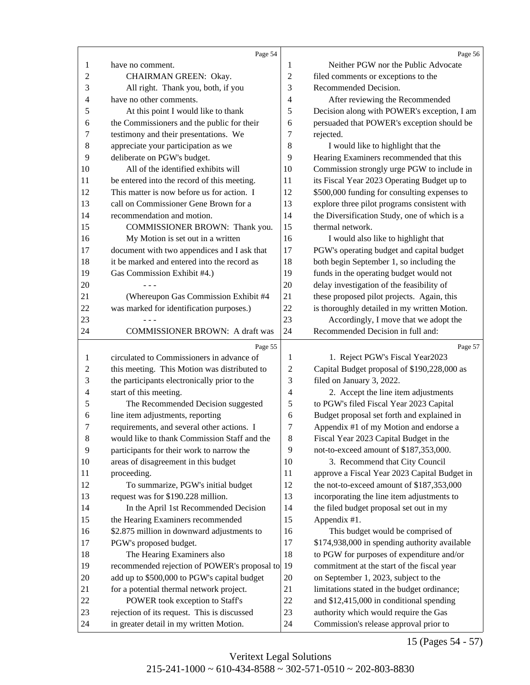<span id="page-14-0"></span>

|                  | Page 54                                                                                |                | Page 56                                                                         |
|------------------|----------------------------------------------------------------------------------------|----------------|---------------------------------------------------------------------------------|
| 1                | have no comment.                                                                       | 1              | Neither PGW nor the Public Advocate                                             |
| $\mathbf{2}$     | CHAIRMAN GREEN: Okay.                                                                  | $\sqrt{2}$     | filed comments or exceptions to the                                             |
| 3                | All right. Thank you, both, if you                                                     | 3              | Recommended Decision.                                                           |
| 4                | have no other comments.                                                                | 4              | After reviewing the Recommended                                                 |
| 5                | At this point I would like to thank                                                    | 5              | Decision along with POWER's exception, I am                                     |
| 6                | the Commissioners and the public for their                                             | 6              | persuaded that POWER's exception should be                                      |
| 7                | testimony and their presentations. We                                                  | 7              | rejected.                                                                       |
| 8                | appreciate your participation as we                                                    | $8\,$          | I would like to highlight that the                                              |
| 9                | deliberate on PGW's budget.                                                            | 9              | Hearing Examiners recommended that this                                         |
| 10               | All of the identified exhibits will                                                    | 10             | Commission strongly urge PGW to include in                                      |
| 11               | be entered into the record of this meeting.                                            | 11             | its Fiscal Year 2023 Operating Budget up to                                     |
| 12               | This matter is now before us for action. I                                             | 12             | \$500,000 funding for consulting expenses to                                    |
| 13               | call on Commissioner Gene Brown for a                                                  | 13             | explore three pilot programs consistent with                                    |
| 14               | recommendation and motion.                                                             | 14             | the Diversification Study, one of which is a                                    |
| 15               | COMMISSIONER BROWN: Thank you.                                                         | 15             | thermal network.                                                                |
| 16               | My Motion is set out in a written                                                      | 16             | I would also like to highlight that                                             |
| 17               | document with two appendices and I ask that                                            | 17             | PGW's operating budget and capital budget                                       |
| 18               | it be marked and entered into the record as                                            | 18             | both begin September 1, so including the                                        |
| 19               | Gas Commission Exhibit #4.)                                                            | 19             | funds in the operating budget would not                                         |
| 20               |                                                                                        | 20             | delay investigation of the feasibility of                                       |
| 21               | (Whereupon Gas Commission Exhibit #4                                                   | 21             | these proposed pilot projects. Again, this                                      |
| 22               | was marked for identification purposes.)                                               | 22             | is thoroughly detailed in my written Motion.                                    |
| 23               |                                                                                        | 23             | Accordingly, I move that we adopt the                                           |
| 24               | <b>COMMISSIONER BROWN: A draft was</b>                                                 | 24             | Recommended Decision in full and:                                               |
|                  |                                                                                        |                |                                                                                 |
|                  |                                                                                        |                |                                                                                 |
|                  | Page 55                                                                                |                | Page 57                                                                         |
| 1                | circulated to Commissioners in advance of                                              | 1              | 1. Reject PGW's Fiscal Year2023                                                 |
| 2                | this meeting. This Motion was distributed to                                           | 2              | Capital Budget proposal of \$190,228,000 as                                     |
| 3                | the participants electronically prior to the                                           | 3              | filed on January 3, 2022.                                                       |
| 4                | start of this meeting.                                                                 | $\overline{4}$ | 2. Accept the line item adjustments                                             |
| 5                | The Recommended Decision suggested                                                     | 5              | to PGW's filed Fiscal Year 2023 Capital                                         |
| 6                | line item adjustments, reporting                                                       | 6              | Budget proposal set forth and explained in                                      |
| 7                | requirements, and several other actions. I                                             | 7              | Appendix #1 of my Motion and endorse a                                          |
| $\boldsymbol{8}$ | would like to thank Commission Staff and the                                           | $\,8\,$        | Fiscal Year 2023 Capital Budget in the                                          |
| $\overline{9}$   | participants for their work to narrow the                                              | 9              | not-to-exceed amount of \$187,353,000.                                          |
| 10               | areas of disagreement in this budget                                                   | 10             | 3. Recommend that City Council                                                  |
| 11               | proceeding.                                                                            | 11             | approve a Fiscal Year 2023 Capital Budget in                                    |
| 12               | To summarize, PGW's initial budget                                                     | 12             | the not-to-exceed amount of \$187,353,000                                       |
| 13               | request was for \$190.228 million.                                                     | 13             | incorporating the line item adjustments to                                      |
| 14               | In the April 1st Recommended Decision                                                  | 14             | the filed budget proposal set out in my                                         |
| 15               | the Hearing Examiners recommended                                                      | 15             | Appendix #1.                                                                    |
| 16               | \$2.875 million in downward adjustments to                                             | 16             | This budget would be comprised of                                               |
| 17               | PGW's proposed budget.                                                                 | 17             | \$174,938,000 in spending authority available                                   |
| 18               | The Hearing Examiners also                                                             | 18             | to PGW for purposes of expenditure and/or                                       |
| 19               | recommended rejection of POWER's proposal to                                           | 19             | commitment at the start of the fiscal year                                      |
| $20\,$           | add up to \$500,000 to PGW's capital budget                                            | 20             | on September 1, 2023, subject to the                                            |
| 21               | for a potential thermal network project.                                               | 21             | limitations stated in the budget ordinance;                                     |
| 22               | POWER took exception to Staff's                                                        | $22\,$         | and \$12,415,000 in conditional spending                                        |
| 23<br>24         | rejection of its request. This is discussed<br>in greater detail in my written Motion. | 23<br>24       | authority which would require the Gas<br>Commission's release approval prior to |

15 (Pages 54 - 57)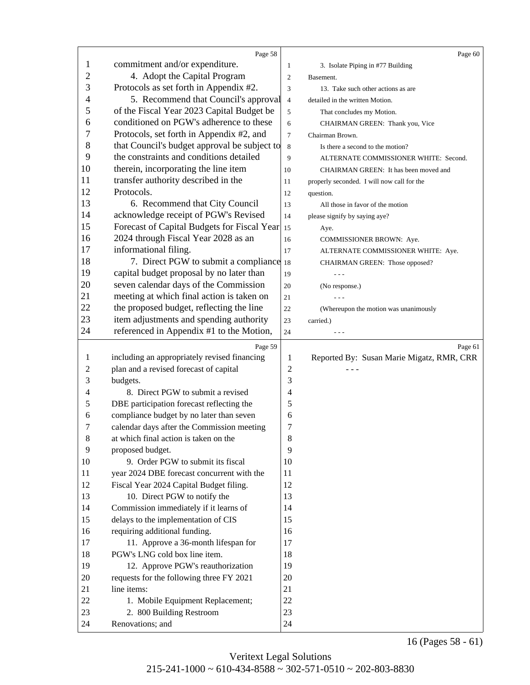<span id="page-15-0"></span>

|                | Page 58                                      |                | Page 60                                    |
|----------------|----------------------------------------------|----------------|--------------------------------------------|
| $\mathbf{1}$   | commitment and/or expenditure.               | $\mathbf{1}$   | 3. Isolate Piping in #77 Building          |
| $\mathfrak{2}$ | 4. Adopt the Capital Program                 | $\sqrt{2}$     | Basement.                                  |
| 3              | Protocols as set forth in Appendix #2.       | 3              | 13. Take such other actions as are         |
| 4              | 5. Recommend that Council's approval         | $\overline{4}$ | detailed in the written Motion.            |
| 5              | of the Fiscal Year 2023 Capital Budget be    | 5              | That concludes my Motion.                  |
| 6              | conditioned on PGW's adherence to these      | 6              | CHAIRMAN GREEN: Thank you, Vice            |
| 7              | Protocols, set forth in Appendix #2, and     | 7              | Chairman Brown.                            |
| 8              | that Council's budget approval be subject to | 8              | Is there a second to the motion?           |
| 9              | the constraints and conditions detailed      | 9              | ALTERNATE COMMISSIONER WHITE: Second.      |
| 10             | therein, incorporating the line item         | 10             | CHAIRMAN GREEN: It has been moved and      |
| 11             | transfer authority described in the          | 11             | properly seconded. I will now call for the |
| 12             | Protocols.                                   | 12             | question.                                  |
| 13             | 6. Recommend that City Council               | 13             | All those in favor of the motion           |
| 14             | acknowledge receipt of PGW's Revised         | 14             | please signify by saying aye?              |
| 15             | Forecast of Capital Budgets for Fiscal Year  | 15             | Aye.                                       |
| 16             | 2024 through Fiscal Year 2028 as an          | 16             | COMMISSIONER BROWN: Aye.                   |
| 17             | informational filing.                        | 17             | ALTERNATE COMMISSIONER WHITE: Aye.         |
| 18             | 7. Direct PGW to submit a compliance 18      |                | CHAIRMAN GREEN: Those opposed?             |
| 19             | capital budget proposal by no later than     | 19             |                                            |
| 20             | seven calendar days of the Commission        | 20             | (No response.)                             |
| 21             | meeting at which final action is taken on    | 21             |                                            |
| 22             | the proposed budget, reflecting the line     | 22             | (Whereupon the motion was unanimously      |
| 23             | item adjustments and spending authority      | 23             | carried.)                                  |
| 24             | referenced in Appendix #1 to the Motion,     | 24             |                                            |
|                |                                              |                |                                            |
|                |                                              |                |                                            |
|                | Page 59                                      |                | Page 61                                    |
| 1              | including an appropriately revised financing | 1              | Reported By: Susan Marie Migatz, RMR, CRR  |
| $\overline{c}$ | plan and a revised forecast of capital       | 2              |                                            |
| 3              | budgets.                                     | 3              |                                            |
| 4              | 8. Direct PGW to submit a revised            | 4              |                                            |
| 5              | DBE participation forecast reflecting the    | 5              |                                            |
| 6              | compliance budget by no later than seven     | 6              |                                            |
| 7              | calendar days after the Commission meeting   | 7              |                                            |
| $8\,$          | at which final action is taken on the        | 8              |                                            |
| 9              | proposed budget.                             | 9              |                                            |
| 10             | 9. Order PGW to submit its fiscal            | 10             |                                            |
| 11             | year 2024 DBE forecast concurrent with the   | 11             |                                            |
| 12             | Fiscal Year 2024 Capital Budget filing.      | 12             |                                            |
| 13             | 10. Direct PGW to notify the                 | 13             |                                            |
| 14             | Commission immediately if it learns of       | 14             |                                            |
| 15             | delays to the implementation of CIS          | 15             |                                            |
| 16             | requiring additional funding.                | 16             |                                            |
| 17             | 11. Approve a 36-month lifespan for          | 17             |                                            |
| 18             | PGW's LNG cold box line item.                | 18             |                                            |
| 19             | 12. Approve PGW's reauthorization            | 19             |                                            |
| 20             | requests for the following three FY 2021     | 20             |                                            |
| 21             | line items:                                  | 21             |                                            |
| 22             | 1. Mobile Equipment Replacement;             | 22             |                                            |
| 23<br>24       | 2. 800 Building Restroom<br>Renovations; and | 23<br>24       |                                            |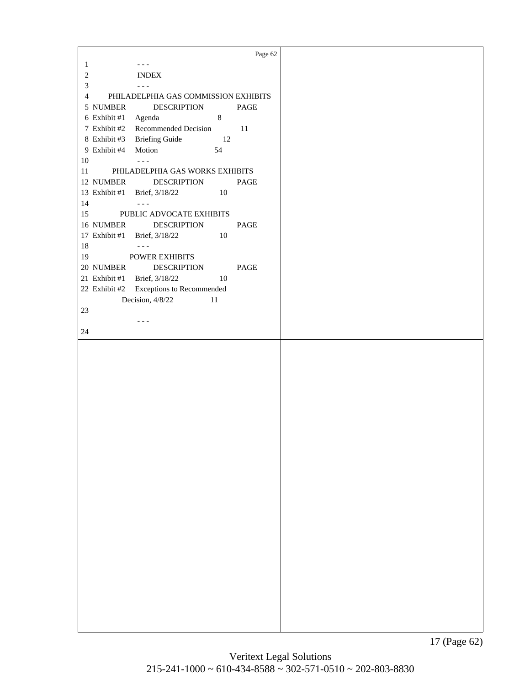<span id="page-16-0"></span>Page 62  $1 -$ 2 INDEX  $3 \qquad \qquad \cdots$ 4 PHILADELPHIA GAS COMMISSION EXHIBITS 5 NUMBER DESCRIPTION PAGE 6 Exhibit #1 Agenda 8 7 Exhibit #2 Recommended Decision 11 8 Exhibit #3 Briefing Guide 12 9 Exhibit #4 Motion 54  $10$  ---11 PHILADELPHIA GAS WORKS EXHIBITS 12 NUMBER DESCRIPTION PAGE 13 Exhibit #1 Brief, 3/18/22 10  $14$  ---15 PUBLIC ADVOCATE EXHIBITS 16 NUMBER DESCRIPTION PAGE 17 Exhibit #1 Brief, 3/18/22 10  $18$  ---19 POWER EXHIBITS 20 NUMBER DESCRIPTION PAGE 21 Exhibit #1 Brief, 3/18/22 10 22 Exhibit #2 Exceptions to Recommended Decision,  $4/8/22$  11 23  $- - -$ 24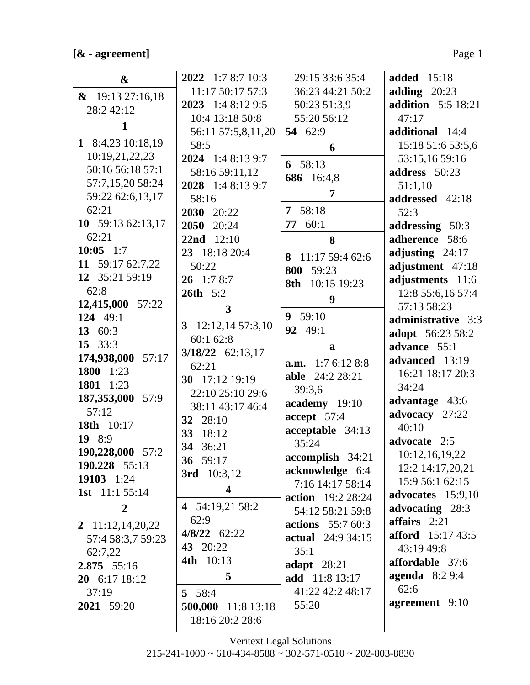### $\left[\text{\&}$  - agreement]

| $\boldsymbol{\&}$                 | 2022 1:7 8:7 10:3       | 29:15 33:6 35:4          | <b>added</b> 15:18        |
|-----------------------------------|-------------------------|--------------------------|---------------------------|
| $\&$ 19:13 27:16,18               | 11:17 50:17 57:3        | 36:23 44:21 50:2         | adding $20:23$            |
| 28:2 42:12                        | 2023 1:4 8:12 9:5       | 50:23 51:3,9             | <b>addition</b> 5:5 18:21 |
| $\mathbf{1}$                      | 10:4 13:18 50:8         | 55:20 56:12              | 47:17                     |
|                                   | 56:11 57:5,8,11,20      | 54 62:9                  | additional 14:4           |
| 1 8:4,23 10:18,19                 | 58:5                    | 6                        | 15:18 51:6 53:5,6         |
| 10:19,21,22,23                    | 2024 1:4 8:13 9:7       | 6 58:13                  | 53:15,16 59:16            |
| 50:16 56:18 57:1                  | 58:16 59:11,12          | 686 16:4,8               | address 50:23             |
| 57:7,15,20 58:24                  | 2028 1:4 8:13 9:7       | 7                        | 51:1,10                   |
| 59:22 62:6,13,17                  | 58:16                   |                          | addressed 42:18           |
| 62:21                             | 2030 20:22              | 7 58:18                  | 52:3                      |
| 10 59:13 62:13,17                 | 2050 20:24              | 77<br>60:1               | addressing 50:3           |
| 62:21                             | 22nd 12:10              | 8                        | adherence 58:6            |
| 10:05 $1:7$                       | 23 18:18 20:4           | 8 11:17 59:4 62:6        | adjusting $24:17$         |
| 11 59:17 62:7,22                  | 50:22                   | 800 59:23                | adjustment 47:18          |
| 12 35:21 59:19                    | $26$ 1:7 8:7            | 10:15 19:23<br>8th       | adjustments 11:6          |
| 62:8                              | <b>26th</b> 5:2         | 9                        | 12:8 55:6,16 57:4         |
| 12,415,000 57:22                  | 3                       |                          | 57:13 58:23               |
| 124 49:1                          | 12:12,1457:3,10<br>3    | 9 59:10                  | administrative 3:3        |
| 13 60:3                           | 60:1 62:8               | 92 49:1                  | adopt 56:23 58:2          |
| 15 33:3                           | 3/18/22 62:13,17        | a                        | advance 55:1              |
| 174,938,000 57:17                 | 62:21                   | <b>a.m.</b> 1:7 6:12 8:8 | advanced 13:19            |
| 1800 1:23                         | 30 17:12 19:19          | <b>able</b> 24:2 28:21   | 16:21 18:17 20:3          |
| 1801 1:23                         | 22:10 25:10 29:6        | 39:3,6                   | 34:24                     |
| 187,353,000<br>57:9<br>57:12      | 38:11 43:17 46:4        | academy 19:10            | advantage 43:6            |
|                                   | 32 28:10                | accept 57:4              | advocacy 27:22            |
| 18th 10:17<br>19 8:9              | 33 18:12                | acceptable 34:13         | 40:10                     |
|                                   | 34 36:21                | 35:24                    | advocate 2:5              |
| 190,228,000 57:2<br>190.228 55:13 | 36 59:17                | accomplish 34:21         | 10:12,16,19,22            |
| 19103 1:24                        | 3rd 10:3,12             | acknowledge 6:4          | 12:2 14:17,20,21          |
| <b>1st</b> 11:1 55:14             | $\overline{\mathbf{4}}$ | 7:16 14:17 58:14         | 15:9 56:1 62:15           |
|                                   | 4 54:19,21 58:2         | <b>action</b> 19:2 28:24 | advocates 15:9,10         |
| $\overline{2}$                    | 62:9                    | 54:12 58:21 59:8         | advocating 28:3           |
| 2 $11:12,14,20,22$                | $4/8/22$ 62:22          | <b>actions</b> 55:7 60:3 | affairs $2:21$            |
| 57:4 58:3,7 59:23                 | 43 20:22                | <b>actual</b> 24:9 34:15 | <b>afford</b> 15:17 43:5  |
| 62:7.22                           | 4th 10:13               | 35:1                     | 43:19 49:8                |
| 2.875 55:16                       |                         | adapt $28:21$            | affordable 37:6           |
| $20 \quad 6:1718:12$              | 5                       | add 11:8 13:17           | agenda $8:29:4$<br>62:6   |
| 37:19                             | 5 58:4                  | 41:22 42:2 48:17         |                           |
| 2021 59:20                        | 500,000 11:8 13:18      | 55:20                    | agreement 9:10            |
|                                   | 18:16 20:2 28:6         |                          |                           |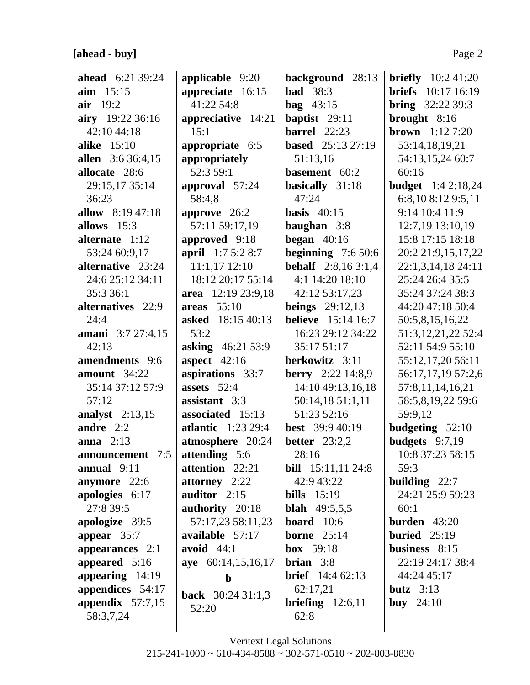| <b>ahead</b> 6:21 39:24 | applicable 9:20           | background 28:13            | <b>briefly</b> $10:241:20$ |
|-------------------------|---------------------------|-----------------------------|----------------------------|
| $\lim$ 15:15            | appreciate 16:15          | <b>bad</b> 38:3             | <b>briefs</b> 10:17 16:19  |
| air $19:2$              | 41:22 54:8                | $\text{bag}$ 43:15          | <b>bring</b> $32:223:39:3$ |
| airy 19:22 36:16        | appreciative 14:21        | baptist 29:11               | brought 8:16               |
| 42:10 44:18             | 15:1                      | <b>barrel</b> 22:23         | <b>brown</b> $1:127:20$    |
| <b>alike</b> 15:10      | appropriate 6:5           | <b>based</b> 25:13 27:19    | 53:14,18,19,21             |
| allen 3:6 36:4,15       | appropriately             | 51:13,16                    | 54:13,15,24 60:7           |
| allocate 28:6           | 52:3 59:1                 | basement 60:2               | 60:16                      |
| 29:15,17 35:14          | approval 57:24            | basically 31:18             | <b>budget</b> 1:4 2:18,24  |
| 36:23                   | 58:4,8                    | 47:24                       | 6:8,10 8:12 9:5,11         |
| allow 8:19 47:18        | approve $26:2$            | basis $40:15$               | 9:14 10:4 11:9             |
| allows $15:3$           | 57:11 59:17,19            | baughan 3:8                 | 12:7,19 13:10,19           |
| alternate 1:12          | approved 9:18             | began $40:16$               | 15:8 17:15 18:18           |
| 53:24 60:9,17           | april 1:7 5:2 8:7         | beginning $7:650:6$         | 20:2 21:9,15,17,22         |
| alternative 23:24       | $11:1,17$ $12:10$         | <b>behalf</b> $2:8,163:1,4$ | 22:1,3,14,18 24:11         |
| 24:6 25:12 34:11        | 18:12 20:17 55:14         | 4:1 14:20 18:10             | 25:24 26:4 35:5            |
| 35:3 36:1               | area 12:19 23:9,18        | 42:12 53:17,23              | 35:24 37:24 38:3           |
| alternatives 22:9       | areas 55:10               | <b>beings</b> $29:12,13$    | 44:20 47:18 50:4           |
| 24:4                    | <b>asked</b> 18:15 40:13  | <b>believe</b> 15:14 16:7   | 50:5,8,15,16,22            |
| amani 3:7 27:4,15       | 53:2                      | 16:23 29:12 34:22           | 51:3,12,21,22 52:4         |
| 42:13                   | asking 46:21 53:9         | 35:17 51:17                 | 52:11 54:9 55:10           |
| amendments 9:6          | aspect $42:16$            | berkowitz 3:11              | 55:12,17,20 56:11          |
| amount 34:22            | aspirations 33:7          | <b>berry</b> 2:22 14:8,9    | 56:17,17,19 57:2,6         |
| 35:14 37:12 57:9        | assets $52:4$             | 14:10 49:13,16,18           | 57:8,11,14,16,21           |
| 57:12                   | assistant 3:3             | 50:14,18 51:1,11            | 58:5,8,19,22 59:6          |
| analyst $2:13,15$       | associated 15:13          | 51:23 52:16                 | 59:9,12                    |
| andre $2:2$             | <b>atlantic</b> 1:23 29:4 | <b>best</b> $39:940:19$     | budgeting $52:10$          |
| anna $2:13$             | atmosphere 20:24          | <b>better</b> 23:2,2        | budgets $9:7,19$           |
| announcement $7:5$      | <b>attending</b> 5:6      | 28:16                       | 10:8 37:23 58:15           |
| annual $9:11$           | attention 22:21           | <b>bill</b> $15:11,1124:8$  | 59:3                       |
| anymore 22:6            | attorney 2:22             | 42:9 43:22                  | building $22:7$            |
| apologies 6:17          | auditor 2:15              | bills $15:19$               | 24:21 25:9 59:23           |
| 27:8 39:5               | authority 20:18           | <b>blah</b> $49:5,5,5$      | 60:1                       |
| apologize 39:5          | 57:17,23 58:11,23         | <b>board</b> $10:6$         | burden $43:20$             |
| appear 35:7             | available 57:17           | borne $25:14$               | buried $25:19$             |
| appearances 2:1         | avoid $44:1$              | box 59:18                   | business 8:15              |
| appeared 5:16           | aye 60:14,15,16,17        | brian $3:8$                 | 22:19 24:17 38:4           |
| appearing $14:19$       | $\mathbf b$               | <b>brief</b> 14:4 62:13     | 44:24 45:17                |
| appendices 54:17        | <b>back</b> $30:2431:1,3$ | 62:17,21                    | butz $3:13$                |
| appendix $57:7,15$      | 52:20                     | briefing $12:6,11$          | <b>buy</b> $24:10$         |
| 58:3,7,24               |                           | 62:8                        |                            |
|                         |                           |                             |                            |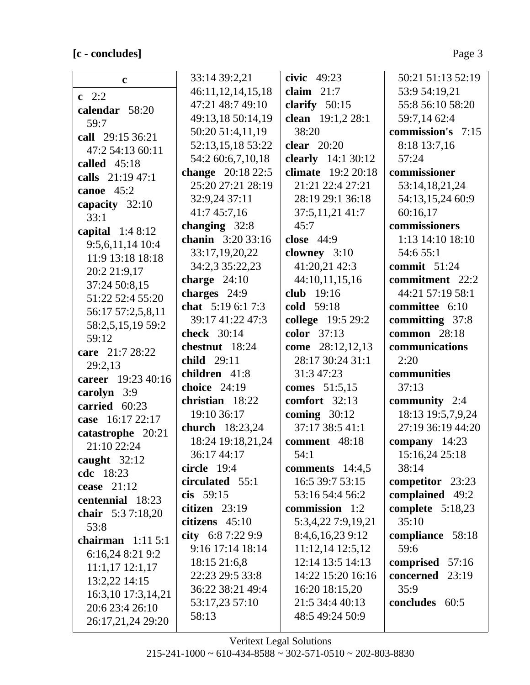# [c - concludes]

 $\lfloor$ 

| $\mathbf{c}$                  | 33:14 39:2,21     | civic $49:23$      | 50:21 51:13 52:19  |
|-------------------------------|-------------------|--------------------|--------------------|
| $c \t2:2$                     | 46:11,12,14,15,18 | claim $21:7$       | 53:9 54:19,21      |
| calendar 58:20                | 47:21 48:7 49:10  | clarify $50:15$    | 55:8 56:10 58:20   |
| 59:7                          | 49:13,18 50:14,19 | clean 19:1,2 28:1  | 59:7,14 62:4       |
| call 29:15 36:21              | 50:20 51:4,11,19  | 38:20              | commission's 7:15  |
| 47:2 54:13 60:11              | 52:13,15,18 53:22 | clear $20:20$      | 8:18 13:7,16       |
| called $45:18$                | 54:2 60:6,7,10,18 | clearly 14:1 30:12 | 57:24              |
| calls 21:19 47:1              | change 20:18 22:5 | climate 19:2 20:18 | commissioner       |
| canoe 45:2                    | 25:20 27:21 28:19 | 21:21 22:4 27:21   | 53:14,18,21,24     |
| capacity 32:10                | 32:9,24 37:11     | 28:19 29:1 36:18   | 54:13,15,24 60:9   |
| 33:1                          | 41:745:7,16       | 37:5,11,21 41:7    | 60:16,17           |
|                               | changing 32:8     | 45:7               | commissioners      |
| capital $1:48:12$             | chanin 3:20 33:16 | close 44:9         | 1:13 14:10 18:10   |
| 9:5,6,11,14 10:4              | 33:17,19,20,22    | clowney 3:10       | 54:6 55:1          |
| 11:9 13:18 18:18              | 34:2,3 35:22,23   | 41:20,21 42:3      | commit $51:24$     |
| 20:2 21:9,17                  | charge $24:10$    | 44:10,11,15,16     | commitment 22:2    |
| 37:24 50:8,15                 | charges $24:9$    | club 19:16         | 44:21 57:19 58:1   |
| 51:22 52:4 55:20              | chat $5:196:17:3$ | cold 59:18         | committee 6:10     |
| 56:17 57:2,5,8,11             | 39:17 41:22 47:3  | college 19:5 29:2  | committing 37:8    |
| 58:2,5,15,19 59:2             | check 30:14       | color 37:13        | common 28:18       |
| 59:12                         | chestnut 18:24    | come 28:12,12,13   | communications     |
| care 21:7 28:22               | child 29:11       | 28:17 30:24 31:1   | 2:20               |
| 29:2,13<br>career 19:23 40:16 | children 41:8     | 31:3 47:23         | communities        |
|                               | choice $24:19$    | comes 51:5,15      | 37:13              |
| carolyn 3:9                   | christian 18:22   | comfort 32:13      | community 2:4      |
| carried 60:23                 | 19:10 36:17       | coming $30:12$     | 18:13 19:5,7,9,24  |
| case 16:17 22:17              | church 18:23,24   | 37:17 38:5 41:1    | 27:19 36:19 44:20  |
| catastrophe 20:21             | 18:24 19:18,21,24 | comment 48:18      | company 14:23      |
| 21:10 22:24                   | 36:17 44:17       | 54:1               | 15:16,24 25:18     |
| caught $32:12$                | circle $19:4$     | comments $14:4,5$  | 38:14              |
| <b>cdc</b> 18:23              | circulated 55:1   | 16:5 39:7 53:15    | competitor 23:23   |
| cease $21:12$                 | cis $59:15$       | 53:16 54:4 56:2    | complained 49:2    |
| centennial 18:23              | citizen $23:19$   | commission 1:2     | complete $5:18,23$ |
| chair 5:37:18,20              | citizens $45:10$  | 5:3,4,22 7:9,19,21 | 35:10              |
| 53:8                          | city $6:87:229:9$ | 8:4,6,16,23 9:12   | compliance 58:18   |
| chairman $1:115:1$            | 9:16 17:14 18:14  | 11:12,14 12:5,12   | 59:6               |
| 6:16,24 8:21 9:2              | 18:15 21:6,8      | 12:14 13:5 14:13   | comprised 57:16    |
| $11:1,17$ $12:1,17$           | 22:23 29:5 33:8   | 14:22 15:20 16:16  | concerned 23:19    |
| 13:2,22 14:15                 | 36:22 38:21 49:4  | 16:20 18:15,20     | 35:9               |
| 16:3,10 17:3,14,21            | 53:17,23 57:10    | 21:5 34:4 40:13    | concludes 60:5     |
| 20:6 23:4 26:10               | 58:13             | 48:5 49:24 50:9    |                    |
| 26:17,21,24 29:20             |                   |                    |                    |

Veritext Legal Solutions  $215 - 241 - 1000 \sim 610 - 434 - 8588 \sim 302 - 571 - 0510 \sim 202 - 803 - 8830$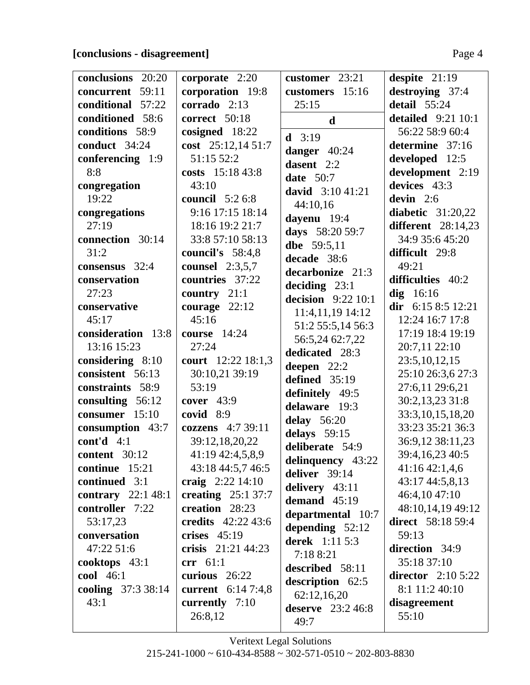# **[conclusions - disagreement]** Page 4

| conclusions 20:20   | corporate 2:20            | customer 23:21             | despite $21:19$                   |
|---------------------|---------------------------|----------------------------|-----------------------------------|
| concurrent 59:11    | corporation 19:8          | customers 15:16            | destroying 37:4                   |
| conditional 57:22   | corrado 2:13              | 25:15                      | detail $55:24$                    |
| conditioned 58:6    | correct 50:18             | $\mathbf d$                | <b>detailed</b> 9:21 10:1         |
| conditions 58:9     | cosigned 18:22            | $d = 3:19$                 | 56:22 58:9 60:4                   |
| conduct 34:24       | cost 25:12,14 51:7        |                            | determine 37:16                   |
| conferencing 1:9    | 51:15 52:2                | danger 40:24<br>dasent 2:2 | developed 12:5                    |
| 8:8                 | costs 15:18 43:8          |                            | development 2:19                  |
| congregation        | 43:10                     | <b>date</b> 50:7           | devices 43:3                      |
| 19:22               | council $5:26:8$          | david $3:1041:21$          | devin $2:6$                       |
| congregations       | 9:16 17:15 18:14          | 44:10,16                   | diabetic $31:20,22$               |
| 27:19               | 18:16 19:2 21:7           | dayenu 19:4                | different $28:14,23$              |
| connection 30:14    | 33:8 57:10 58:13          | days 58:20 59:7            | 34:9 35:6 45:20                   |
| 31:2                | council's 58:4,8          | dbe 59:5,11                | difficult 29:8                    |
| consensus 32:4      | counsel $2:3,5,7$         | decade 38:6                | 49:21                             |
| conservation        | countries 37:22           | decarbonize 21:3           | difficulties 40:2                 |
| 27:23               | country $21:1$            | deciding $23:1$            | $\text{dig}$ 16:16                |
| conservative        | courage $22:12$           | decision $9:22$ 10:1       | dir 6:15 8:5 12:21                |
| 45:17               | 45:16                     | 11:4,11,19 14:12           | 12:24 16:7 17:8                   |
| consideration 13:8  | course 14:24              | 51:2 55:5,14 56:3          | 17:19 18:4 19:19                  |
| 13:16 15:23         | 27:24                     | 56:5,24 62:7,22            | 20:7,11 22:10                     |
| considering 8:10    | court 12:22 18:1,3        | dedicated 28:3             | 23:5, 10, 12, 15                  |
| consistent 56:13    | 30:10,21 39:19            | deepen $22:2$              | 25:10 26:3,6 27:3                 |
| constraints 58:9    | 53:19                     | defined $35:19$            | 27:6,11 29:6,21                   |
| consulting 56:12    | cover $43:9$              | definitely 49:5            | 30:2,13,23 31:8                   |
| consumer 15:10      | covid 8:9                 | delaware 19:3              | 33:3,10,15,18,20                  |
| consumption 43:7    | cozzens 4:7 39:11         | delay 56:20                | 33:23 35:21 36:3                  |
| cont'd $4:1$        | 39:12,18,20,22            | delays 59:15               | 36:9,12 38:11,23                  |
| content 30:12       |                           | deliberate 54:9            |                                   |
| continue 15:21      | 41:19 42:4,5,8,9          | delinquency 43:22          | 39:4,16,23 40:5<br>41:16 42:1,4,6 |
|                     | 43:18 44:5,7 46:5         | deliver 39:14              |                                   |
| continued 3:1       | craig $2:22\,14:10$       | delivery $43:11$           | 43:17 44:5,8,13                   |
| contrary $22:148:1$ | creating $25:137:7$       | demand $45:19$             | 46:4,10 47:10                     |
| controller 7:22     | creation 28:23            | departmental 10:7          | 48:10,14,19 49:12                 |
| 53:17,23            | credits 42:22 43:6        | depending $52:12$          | <b>direct</b> 58:18 59:4          |
| conversation        | crises $45:19$            | <b>derek</b> 1:11 5:3      | 59:13                             |
| 47:22 51:6          | crisis 21:21 44:23        | 7:18 8:21                  | direction 34:9                    |
| cooktops $43:1$     | $\operatorname{err}$ 61:1 | described 58:11            | 35:18 37:10                       |
| <b>cool</b> 46:1    | curious $26:22$           | description 62:5           | director $2:105:22$               |
| cooling 37:3 38:14  | current $6:147:4,8$       | 62:12,16,20                | 8:1 11:2 40:10                    |
| 43:1                | currently $7:10$          | deserve $23:246:8$         | disagreement                      |
|                     | 26:8,12                   | 49:7                       | 55:10                             |
|                     |                           |                            |                                   |

Veritext Legal Solutions  $215-241-1000 \approx 610-434-8588 \approx 302-571-0510 \approx 202-803-8830$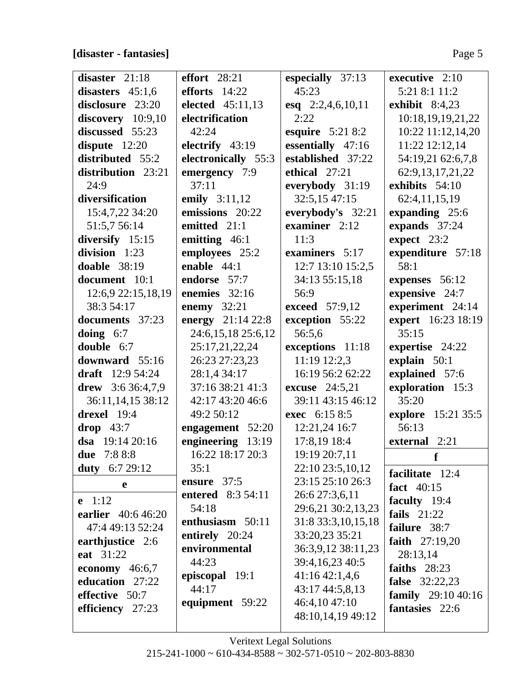**[disaster - fantasies]** Page 5

| disaster $21:18$                    | effort $28:21$      | especially 37:13      | executive $2:10$                      |
|-------------------------------------|---------------------|-----------------------|---------------------------------------|
| disasters $45:1,6$                  | efforts $14:22$     | 45:23                 | 5:21 8:1 11:2                         |
| disclosure 23:20                    | elected 45:11,13    | esq 2:2,4,6,10,11     | exhibit $8:4,23$                      |
| $discovery$ 10:9,10                 | electrification     | 2:22                  | 10:18,19,19,21,22                     |
| discussed 55:23                     | 42:24               | esquire $5:218:2$     | 10:22 11:12,14,20                     |
| dispute $12:20$                     | electrify 43:19     | essentially 47:16     | 11:22 12:12,14                        |
| distributed 55:2                    | electronically 55:3 | established 37:22     | 54:19,21 62:6,7,8                     |
| distribution 23:21                  | emergency 7:9       | ethical 27:21         | 62:9,13,17,21,22                      |
| 24:9                                | 37:11               | everybody 31:19       | exhibits 54:10                        |
| diversification                     | emily 3:11,12       | 32:5,15 47:15         | 62:4,11,15,19                         |
| 15:4,7,22 34:20                     | emissions 20:22     | everybody's 32:21     | expanding 25:6                        |
| 51:5,7 56:14                        | emitted 21:1        | examiner $2:12$       | expands 37:24                         |
| diversify 15:15                     | emitting 46:1       | 11:3                  | expect $23:2$                         |
| division 1:23                       | employees 25:2      | examiners 5:17        | expenditure 57:18                     |
| doable $38:19$                      | enable $44:1$       | 12:7 13:10 15:2,5     | 58:1                                  |
| document 10:1                       | endorse 57:7        | 34:13 55:15,18        | expenses 56:12                        |
| 12:6,9 22:15,18,19                  | enemies $32:16$     | 56:9                  | expensive 24:7                        |
| 38:3 54:17                          | enemy 32:21         | <b>exceed</b> 57:9,12 | experiment 24:14                      |
| documents 37:23                     | energy 21:14 22:8   | exception 55:22       | expert 16:23 18:19                    |
| doing $6:7$                         | 24:6,15,18 25:6,12  | 56:5,6                | 35:15                                 |
| double 6:7                          | 25:17,21,22,24      | exceptions 11:18      | expertise 24:22                       |
| downward 55:16                      | 26:23 27:23,23      | 11:19 12:2,3          | explain 50:1                          |
| draft $12:954:24$                   | 28:1,4 34:17        | 16:19 56:2 62:22      | explained 57:6                        |
| drew $3:636:4,7,9$                  | 37:16 38:21 41:3    | <b>excuse</b> 24:5,21 | exploration 15:3                      |
| 36:11,14,15 38:12                   | 42:17 43:20 46:6    | 39:11 43:15 46:12     | 35:20                                 |
| drexel 19:4                         | 49:2 50:12          | exec 6:15 8:5         | explore 15:21 35:5                    |
| $drop$ 43:7                         | engagement 52:20    | 12:21,24 16:7         | 56:13                                 |
| dsa $19:1420:16$                    | engineering 13:19   | 17:8,19 18:4          | external 2:21                         |
| due 7:8 8:8                         | 16:22 18:17 20:3    | 19:19 20:7,11         | f                                     |
| 6:7 29:12<br>duty                   | 35:1                | 22:10 23:5,10,12      | facilitate 12:4                       |
| e                                   | ensure 37:5         | 23:15 25:10 26:3      | fact 40:15                            |
| <b>e</b> 1:12                       | entered 8:3 54:11   | 26:6 27:3,6,11        | faculty 19:4                          |
| earlier 40:6 46:20                  | 54:18               | 29:6,21 30:2,13,23    | fails $21:22$                         |
| 47:4 49:13 52:24                    | enthusiasm 50:11    | 31:8 33:3, 10, 15, 18 | failure 38:7                          |
| earthjustice 2:6                    | entirely 20:24      | 33:20,23 35:21        | faith $27:19,20$                      |
| eat 31:22                           | environmental       | 36:3,9,12 38:11,23    | 28:13,14                              |
|                                     | 44:23               | 39:4, 16, 23 40: 5    | faiths $28:23$                        |
| economy $46:6,7$<br>education 27:22 | episcopal 19:1      | $41:16\,42:1,4,6$     |                                       |
|                                     | 44:17               | 43:17 44:5,8,13       | <b>false</b> 32:22,23                 |
| effective 50:7                      | equipment 59:22     | 46:4,10 47:10         | family $29:1040:16$<br>fantasies 22:6 |
| efficiency 27:23                    |                     | 48:10,14,19 49:12     |                                       |
|                                     |                     |                       |                                       |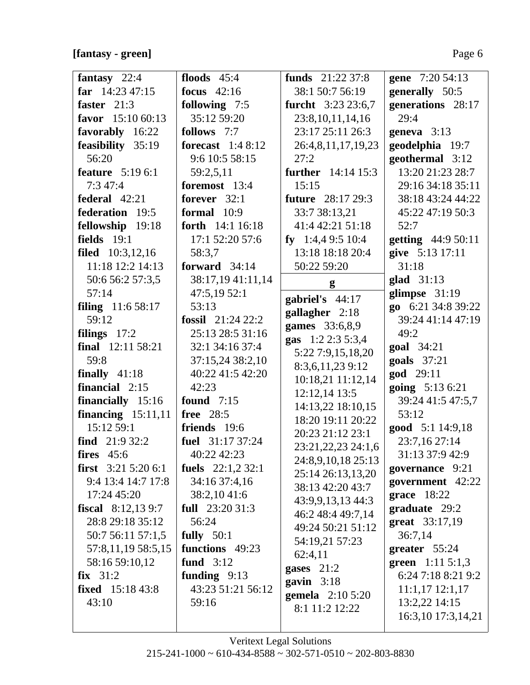$\frac{1}{2}$ 

| fantasy $22:4$             | floods $45:4$      | funds $21:2237:8$            | gene 7:20 54:13            |
|----------------------------|--------------------|------------------------------|----------------------------|
| far $14:23\,47:15$         | focus $42:16$      | 38:1 50:7 56:19              | generally 50:5             |
| faster $21:3$              | following 7:5      | <b>furcht</b> 3:23 23:6,7    | generations 28:17          |
| favor 15:10 60:13          | 35:12 59:20        | 23:8, 10, 11, 14, 16         | 29:4                       |
| favorably 16:22            | follows 7:7        | 23:17 25:11 26:3             | geneva $3:13$              |
| feasibility 35:19          | forecast $1:48:12$ | 26:4,8,11,17,19,23           | geodelphia 19:7            |
| 56:20                      | 9:6 10:5 58:15     | 27:2                         | geothermal 3:12            |
| <b>feature</b> 5:19 6:1    | 59:2,5,11          | <b>further</b> 14:14 15:3    | 13:20 21:23 28:7           |
| 7:347:4                    | foremost 13:4      | 15:15                        | 29:16 34:18 35:11          |
| federal 42:21              | forever $32:1$     | <b>future</b> 28:17 29:3     | 38:18 43:24 44:22          |
| federation 19:5            | formal 10:9        | 33:7 38:13,21                | 45:22 47:19 50:3           |
| fellowship 19:18           | forth 14:1 16:18   | 41:4 42:21 51:18             | 52:7                       |
| fields $19:1$              | 17:1 52:20 57:6    | fy 1:4,4 9:5 10:4            | getting 44:9 50:11         |
| <b>filed</b> $10:3,12,16$  | 58:3,7             | 13:18 18:18 20:4             | give 5:13 17:11            |
| 11:18 12:2 14:13           | forward 34:14      | 50:22 59:20                  | 31:18                      |
| 50:6 56:2 57:3,5           | 38:17,19 41:11,14  | g                            | $glad$ 31:13               |
| 57:14                      | 47:5,1952:1        | gabriel's 44:17              | glimpse $31:19$            |
| <b>filing</b> $11:658:17$  | 53:13              | gallagher 2:18               | go 6:21 34:8 39:22         |
| 59:12                      | fossil $21:2422:2$ | games 33:6,8,9               | 39:24 41:14 47:19          |
| filings $17:2$             | 25:13 28:5 31:16   | gas 1:2 2:3 5:3,4            | 49:2                       |
| final 12:11 58:21          | 32:1 34:16 37:4    | 5:22 7:9,15,18,20            | <b>goal</b> 34:21          |
| 59:8                       | 37:15,24 38:2,10   | 8:3,6,11,23 9:12             | goals 37:21                |
| finally $41:18$            | 40:22 41:5 42:20   | 10:18,21 11:12,14            | god 29:11                  |
| financial $2:15$           | 42:23              | 12:12,14 13:5                | going 5:13 6:21            |
| financially 15:16          | <b>found</b> 7:15  | 14:13,22 18:10,15            | 39:24 41:5 47:5,7          |
| financing $15:11,11$       | free 28:5          | 18:20 19:11 20:22            | 53:12                      |
| 15:12 59:1                 | friends 19:6       | 20:23 21:12 23:1             | good 5:1 14:9,18           |
| find $21:932:2$            | fuel 31:17 37:24   | 23:21,22,23 24:1,6           | 23:7,16 27:14              |
| fires $45:6$               | 40:22 42:23        | 24:8,9,10,18 25:13           | 31:13 37:9 42:9            |
| <b>first</b> $3:215:206:1$ | fuels $22:1,232:1$ | 25:14 26:13,13,20            | governance 9:21            |
| 9:4 13:4 14:7 17:8         | 34:16 37:4,16      | 38:13 42:20 43:7             | government 42:22           |
| 17:24 45:20                | 38:2,1041:6        | 43:9,9,13,13 44:3            | grace 18:22                |
| fiscal $8:12,139:7$        | full $23:2031:3$   | 46:2 48:4 49:7,14            | graduate 29:2              |
| 28:8 29:18 35:12           | 56:24              | 49:24 50:21 51:12            | great 33:17,19             |
| 50:7 56:11 57:1,5          | fully $50:1$       | 54:19,21 57:23               | 36:7,14                    |
| 57:8,11,19 58:5,15         | functions 49:23    | 62:4,11                      | greater $55:24$            |
| 58:16 59:10,12             | fund $3:12$        |                              | <b>green</b> $1:11\ 5:1,3$ |
| $fix$ 31:2                 | funding $9:13$     | gases $21:2$<br>gavin $3:18$ | 6:24 7:18 8:21 9:2         |
| <b>fixed</b> $15:1843:8$   | 43:23 51:21 56:12  |                              | $11:1,17$ $12:1,17$        |
| 43:10                      | 59:16              | <b>gemela</b> 2:10 5:20      | 13:2,22 14:15              |
|                            |                    | 8:1 11:2 12:22               | 16:3,10 17:3,14,21         |
|                            |                    |                              |                            |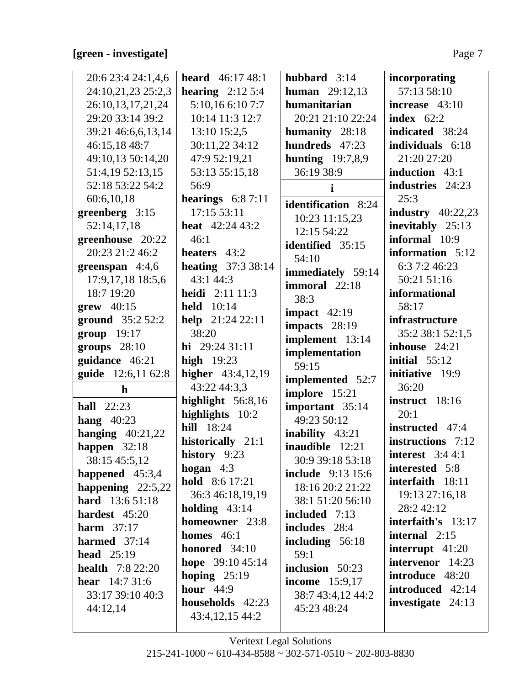# [green - investigate]

| 20:6 23:4 24:1,4,6       | <b>heard</b> $46:1748:1$   | hubbard 3:14               | incorporating          |
|--------------------------|----------------------------|----------------------------|------------------------|
| 24:10,21,23 25:2,3       | hearing $2:125:4$          | <b>human</b> 29:12,13      | 57:13 58:10            |
| 26:10,13,17,21,24        | 5:10,16 6:10 7:7           | humanitarian               | increase $43:10$       |
| 29:20 33:14 39:2         | 10:14 11:3 12:7            | 20:21 21:10 22:24          | index $62:2$           |
| 39:21 46:6,6,13,14       | 13:10 15:2,5               | humanity 28:18             | indicated 38:24        |
| 46:15,18 48:7            | 30:11,22 34:12             | hundreds 47:23             | individuals 6:18       |
| 49:10,13 50:14,20        | 47:9 52:19,21              | hunting $19:7,8,9$         | 21:20 27:20            |
| 51:4,19 52:13,15         | 53:13 55:15,18             | 36:19 38:9                 | induction 43:1         |
| 52:18 53:22 54:2         | 56:9                       | i.                         | industries 24:23       |
| 60:6,10,18               | hearings $6:87:11$         | <b>identification</b> 8:24 | 25:3                   |
| greenberg 3:15           | 17:15 53:11                | 10:23 11:15,23             | industry $40:22,23$    |
| 52:14,17,18              | <b>heat</b> $42:24\,43:2$  | 12:15 54:22                | inevitably 25:13       |
| greenhouse 20:22         | 46:1                       | identified 35:15           | informal 10:9          |
| 20:23 21:2 46:2          | heaters 43:2               | 54:10                      | information 5:12       |
| greenspan 4:4,6          | <b>heating</b> $37:338:14$ | immediately 59:14          | 6:3 7:2 46:23          |
| 17:9, 17, 18 18:5, 6     | 43:1 44:3                  | immoral 22:18              | 50:21 51:16            |
| 18:7 19:20               | <b>heidi</b> $2:11$ 11:3   | 38:3                       | informational          |
| grew 40:15               | <b>held</b> 10:14          | impact $42:19$             | 58:17                  |
| <b>ground</b> $35:252:2$ | help 21:24 22:11           | impacts 28:19              | infrastructure         |
| $group$ 19:17            | 38:20                      | implement 13:14            | 35:2 38:1 52:1,5       |
| groups 28:10             | hi $29:2431:11$            | implementation             | inhouse 24:21          |
| guidance 46:21           | high $19:23$               | 59:15                      | initial $55:12$        |
| guide 12:6,11 62:8       | higher 43:4,12,19          | implemented 52:7           | initiative 19:9        |
| $\mathbf{h}$             | 43:22 44:3,3               | implore 15:21              | 36:20                  |
| <b>hall</b> 22:23        | highlight $56:8,16$        | important 35:14            | instruct 18:16         |
| hang $40:23$             | highlights 10:2            | 49:23 50:12                | 20:1                   |
| hanging $40:21,22$       | <b>hill</b> 18:24          | <b>inability</b> 43:21     | instructed 47:4        |
| happen $32:18$           | historically 21:1          | inaudible 12:21            | instructions 7:12      |
| 38:15 45:5,12            | history 9:23               | 30:9 39:18 53:18           | interest $3:44:1$      |
| happened $45:3,4$        | hogan $4:3$                | <b>include</b> 9:13 15:6   | interested 5:8         |
| happening $22:5,22$      | <b>hold</b> $8:617:21$     | 18:16 20:2 21:22           | interfaith 18:11       |
| <b>hard</b> 13:6 51:18   | 36:3 46:18,19,19           | 38:1 51:20 56:10           | 19:13 27:16,18         |
| hardest 45:20            | holding $43:14$            | included 7:13              | 28:242:12              |
| harm $37:17$             | homeowner 23:8             | includes 28:4              | interfaith's 13:17     |
| harmed $37:14$           | homes $46:1$               | including 56:18            | internal $2:15$        |
| head $25:19$             | honored $34:10$            | 59:1                       | interrupt $41:20$      |
| <b>health</b> $7:822:20$ | hope 39:10 45:14           | inclusion 50:23            | intervenor 14:23       |
| <b>hear</b> $14:731:6$   | hoping $25:19$             | <b>income</b> 15:9,17      | <b>introduce</b> 48:20 |
| 33:17 39:10 40:3         | hour $44:9$                | 38:7 43:4,12 44:2          | introduced 42:14       |
| 44:12,14                 | households 42:23           | 45:23 48:24                | investigate 24:13      |
|                          | 43:4, 12, 15 44:2          |                            |                        |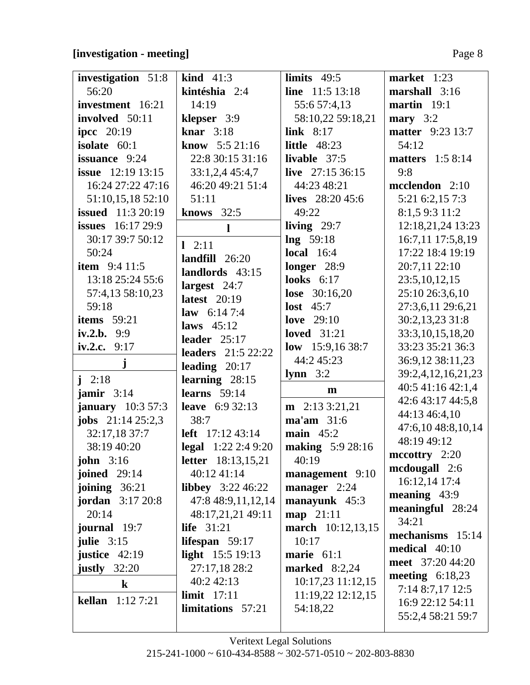# **[investigation - meeting]** Page 8

| investigation 51:8        | <b>kind</b> $41:3$             | limits $49:5$           | market $1:23$                        |
|---------------------------|--------------------------------|-------------------------|--------------------------------------|
| 56:20                     | kintéshia 2:4                  | line $11:5 13:18$       | marshall $3:16$                      |
| investment 16:21          | 14:19                          | 55:6 57:4,13            | martin $19:1$                        |
| involved 50:11            | klepser 3:9                    | 58:10,22 59:18,21       | mary $3:2$                           |
| <b>ipcc</b> 20:19         | knar $3:18$                    | link $8:17$             | <b>matter</b> 9:23 13:7              |
| isolate $60:1$            | <b>know</b> $5:521:16$         | little $48:23$          | 54:12                                |
| issuance 9:24             | 22:8 30:15 31:16               | livable $37:5$          | <b>matters</b> 1:5 8:14              |
| <b>issue</b> 12:19 13:15  | 33:1,2,4 45:4,7                | live $27:1536:15$       | 9:8                                  |
| 16:24 27:22 47:16         | 46:20 49:21 51:4               | 44:23 48:21             | mcclendon 2:10                       |
| 51:10,15,18 52:10         | 51:11                          | lives $28:2045:6$       | 5:21 6:2,15 7:3                      |
| <b>issued</b> 11:3 20:19  | knows $32:5$                   | 49:22                   | 8:1,5 9:3 11:2                       |
| <b>issues</b> $16:1729:9$ | $\mathbf{l}$                   | living $29:7$           | 12:18,21,24 13:23                    |
| 30:17 39:7 50:12          |                                | $\ln g$ 59:18           | 16:7,11 17:5,8,19                    |
| 50:24                     | $1 \t2:11$<br>landfill $26:20$ | <b>local</b> 16:4       | 17:22 18:4 19:19                     |
| <b>item</b> $9:411:5$     | landlords 43:15                | longer 28:9             | 20:7,11 22:10                        |
| 13:18 25:24 55:6          | largest $24:7$                 | looks $6:17$            | 23:5, 10, 12, 15                     |
| 57:4,13 58:10,23          | latest $20:19$                 | <b>lose</b> $30:16,20$  | 25:10 26:3,6,10                      |
| 59:18                     | <b>law</b> $6:147:4$           | lost $45:7$             | 27:3,6,11 29:6,21                    |
| items $59:21$             | laws $45:12$                   | love $29:10$            | 30:2,13,23 31:8                      |
| iv.2.b. $9:9$             | leader $25:17$                 | <b>loved</b> 31:21      | 33:3,10,15,18,20                     |
| iv.2.c. $9:17$            | <b>leaders</b> 21:5 22:22      | low $15:9,1638:7$       | 33:23 35:21 36:3                     |
| ${\bf j}$                 | leading $20:17$                | 44:2 45:23              | 36:9,12 38:11,23                     |
| $i \t2:18$                | learning $28:15$               | $lymn \quad 3:2$        | 39:2,4,12,16,21,23                   |
| jamir $3:14$              | learns $59:14$                 | $\mathbf{m}$            | 40:5 41:16 42:1,4                    |
| <b>january</b> 10:3 57:3  | <b>leave</b> 6:9 32:13         | $m$ 2:13 3:21,21        | 42:6 43:17 44:5,8                    |
| <b>jobs</b> $21:1425:2,3$ | 38:7                           | ma'am 31:6              | 44:13 46:4,10                        |
| 32:17,18 37:7             | <b>left</b> $17:12\,43:14$     | main $45:2$             | 47:6,10 48:8,10,14                   |
| 38:19 40:20               | <b>legal</b> $1:22$ 2:4 9:20   | <b>making</b> 5:9 28:16 | 48:19 49:12                          |
| <b>john</b> $3:16$        | <b>letter</b> 18:13,15,21      | 40:19                   | $\text{mccottry}$ 2:20               |
| <b>joined</b> 29:14       | 40:12 41:14                    | management 9:10         | mcdougall 2:6                        |
| joining $36:21$           | libbey $3:22,46:22$            | manager 2:24            | 16:12,14 17:4                        |
| <b>jordan</b> $3:1720:8$  | 47:8 48:9,11,12,14             | manayunk 45:3           | meaning $43:9$                       |
| 20:14                     | 48:17,21,21 49:11              | <b>map</b> 21:11        | meaningful 28:24                     |
| journal 19:7              | life $31:21$                   | march 10:12,13,15       | 34:21                                |
| julie $3:15$              | lifespan $59:17$               | 10:17                   | mechanisms 15:14                     |
| justice $42:19$           | light $15:5 19:13$             | marie $61:1$            | medical 40:10                        |
| justly $32:20$            | 27:17,18 28:2                  | <b>marked</b> 8:2,24    | meet 37:20 44:20                     |
| $\bf k$                   | 40:2 42:13                     | 10:17,23 11:12,15       | meeting $6:18,23$                    |
| <b>kellan</b> $1:127:21$  | limit $17:11$                  | 11:19,22 12:12,15       | 7:14 8:7,17 12:5<br>16:9 22:12 54:11 |
|                           | limitations 57:21              | 54:18,22                | 55:2,4 58:21 59:7                    |
|                           |                                |                         |                                      |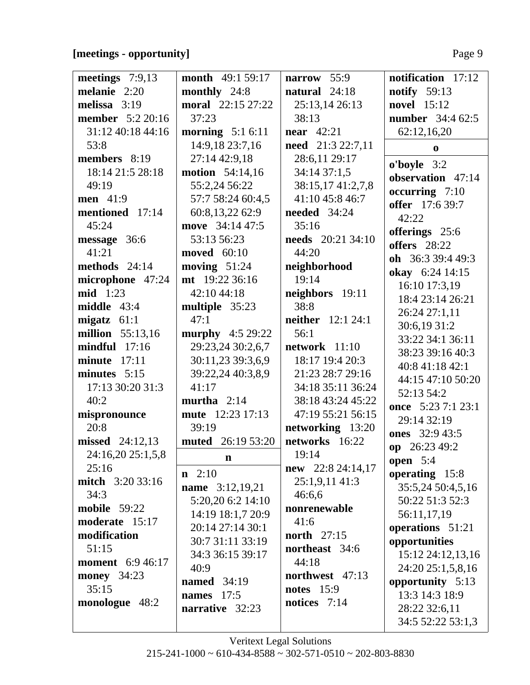### [meetings - opportunity]

|--|--|

| meetings 7:9,13         | <b>month</b> 49:1 59:17  | narrow 55:9              | notification 17:12      |
|-------------------------|--------------------------|--------------------------|-------------------------|
| melanie 2:20            | monthly 24:8             | natural 24:18            | <b>notify</b> 59:13     |
| melissa $3:19$          | <b>moral</b> 22:15 27:22 | 25:13,14 26:13           | novel 15:12             |
| <b>member</b> 5:2 20:16 | 37:23                    | 38:13                    | <b>number</b> 34:4 62:5 |
| 31:12 40:18 44:16       | morning $5:16:11$        | near $42:21$             | 62:12,16,20             |
| 53:8                    | 14:9,18 23:7,16          | need 21:3 22:7,11        | $\bf{0}$                |
| members 8:19            | 27:14 42:9,18            | 28:6,11 29:17            | $o'boyle$ 3:2           |
| 18:14 21:5 28:18        | <b>motion</b> 54:14,16   | 34:14 37:1,5             | observation 47:14       |
| 49:19                   | 55:2,24 56:22            | 38:15,17 41:2,7,8        | occurring 7:10          |
| <b>men</b> 41:9         | 57:7 58:24 60:4,5        | 41:10 45:8 46:7          | offer 17:6 39:7         |
| mentioned 17:14         | 60:8,13,22 62:9          | <b>needed</b> 34:24      | 42:22                   |
| 45:24                   | move 34:14 47:5          | 35:16                    | offerings 25:6          |
| message 36:6            | 53:13 56:23              | <b>needs</b> 20:21 34:10 | offers 28:22            |
| 41:21                   | <b>moved</b> 60:10       | 44:20                    | oh 36:3 39:4 49:3       |
| methods $24:14$         | moving $51:24$           | neighborhood             | okay 6:24 14:15         |
| microphone 47:24        | mt 19:22 36:16           | 19:14                    | 16:10 17:3,19           |
| $mid$ 1:23              | 42:10 44:18              | neighbors 19:11          | 18:4 23:14 26:21        |
| middle $43:4$           | multiple 35:23           | 38:8                     | 26:24 27:1,11           |
| migatz $61:1$           | 47:1                     | <b>neither</b> 12:1 24:1 | 30:6,19 31:2            |
| <b>million</b> 55:13,16 | <b>murphy</b> $4:529:22$ | 56:1                     | 33:22 34:1 36:11        |
| $mindful$ 17:16         | 29:23,24 30:2,6,7        | $network$ 11:10          | 38:23 39:16 40:3        |
| $minute$ 17:11          | 30:11,23 39:3,6,9        | 18:17 19:4 20:3          | 40:8 41:18 42:1         |
| minutes 5:15            | 39:22,24 40:3,8,9        | 21:23 28:7 29:16         | 44:15 47:10 50:20       |
| 17:13 30:20 31:3        | 41:17                    | 34:18 35:11 36:24        | 52:13 54:2              |
| 40:2                    | murtha $2:14$            | 38:18 43:24 45:22        | once 5:23 7:1 23:1      |
| mispronounce            | mute 12:23 17:13         | 47:19 55:21 56:15        | 29:14 32:19             |
| 20:8                    | 39:19                    | networking 13:20         | ones 32:9 43:5          |
| missed 24:12,13         | <b>muted</b> 26:19 53:20 | networks 16:22           | op 26:23 49:2           |
| 24:16,20 25:1,5,8       | n                        | 19:14                    | <b>open</b> 5:4         |
| 25:16                   | $n \quad 2:10$           | new 22:8 24:14,17        | operating 15:8          |
| <b>mitch</b> 3:20 33:16 | <b>name</b> 3:12,19,21   | 25:1,9,11 41:3           | 35:5,24 50:4,5,16       |
| 34:3                    | 5:20,20 6:2 14:10        | 46:6,6                   | 50:22 51:3 52:3         |
| mobile $59:22$          | 14:19 18:1,7 20:9        | nonrenewable             | 56:11,17,19             |
| moderate 15:17          | 20:14 27:14 30:1         | 41:6                     | operations 51:21        |
| modification            | 30:7 31:11 33:19         | <b>north</b> 27:15       | opportunities           |
| 51:15                   | 34:3 36:15 39:17         | northeast 34:6           | 15:12 24:12,13,16       |
| <b>moment</b> 6:9 46:17 | 40:9                     | 44:18                    | 24:20 25:1,5,8,16       |
| <b>money</b> 34:23      | named $34:19$            | northwest 47:13          | opportunity 5:13        |
| 35:15                   | <b>names</b> 17:5        | <b>notes</b> 15:9        | 13:3 14:3 18:9          |
| monologue 48:2          | narrative 32:23          | notices $7:14$           | 28:22 32:6,11           |
|                         |                          |                          | 34:5 52:22 53:1,3       |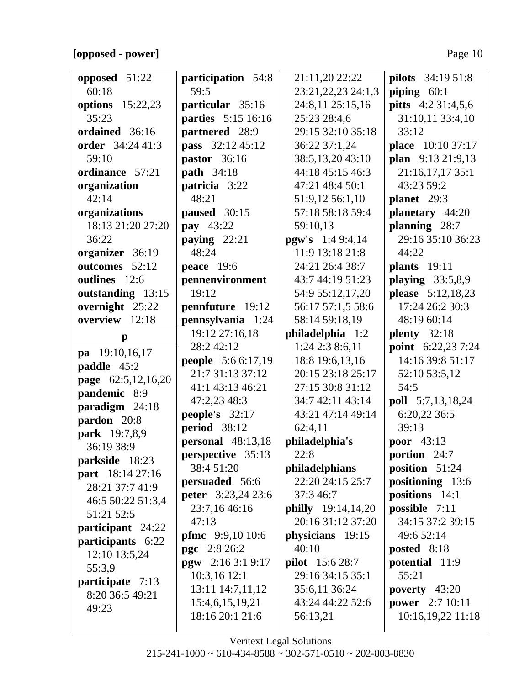# **[opposed - power]** Page 10

|                                  |                            |                                      | <b>pilots</b> 34:19 51:8                   |
|----------------------------------|----------------------------|--------------------------------------|--------------------------------------------|
| opposed 51:22<br>60:18           | participation 54:8<br>59:5 | 21:11,20 22:22<br>23:21,22,23 24:1,3 |                                            |
|                                  | particular 35:16           | 24:8,11 25:15,16                     | piping $60:1$<br><b>pitts</b> 4:2 31:4,5,6 |
| <b>options</b> 15:22,23<br>35:23 | parties 5:15 16:16         | 25:23 28:4,6                         | 31:10,11 33:4,10                           |
|                                  |                            |                                      |                                            |
| ordained 36:16                   | partnered 28:9             | 29:15 32:10 35:18                    | 33:12                                      |
| order 34:24 41:3                 | pass 32:12 45:12           | 36:22 37:1,24                        | place 10:10 37:17                          |
| 59:10                            | pastor $36:16$             | 38:5,13,20 43:10                     | plan 9:13 21:9,13                          |
| ordinance 57:21                  | <b>path</b> 34:18          | 44:18 45:15 46:3                     | 21:16,17,17 35:1                           |
| organization                     | patricia 3:22              | 47:21 48:4 50:1                      | 43:23 59:2                                 |
| 42:14                            | 48:21                      | 51:9,12 56:1,10                      | planet 29:3                                |
| organizations                    | paused 30:15               | 57:18 58:18 59:4                     | planetary 44:20                            |
| 18:13 21:20 27:20                | pay 43:22                  | 59:10,13                             | planning 28:7                              |
| 36:22                            | paying $22:21$             | <b>pgw's</b> 1:4 9:4,14              | 29:16 35:10 36:23                          |
| organizer 36:19                  | 48:24                      | 11:9 13:18 21:8                      | 44:22                                      |
| outcomes 52:12                   | peace $19:6$               | 24:21 26:4 38:7                      | <b>plants</b> 19:11                        |
| outlines 12:6                    | pennenvironment            | 43:7 44:19 51:23                     | playing $33:5,8,9$                         |
| outstanding 13:15                | 19:12                      | 54:9 55:12,17,20                     | please 5:12,18,23                          |
| overnight 25:22                  | pennfuture 19:12           | 56:17 57:1,5 58:6                    | 17:24 26:2 30:3                            |
| overview 12:18                   | pennsylvania 1:24          | 58:14 59:18,19                       | 48:19 60:14                                |
| $\mathbf{p}$                     | 19:12 27:16,18             | philadelphia 1:2                     | plenty $32:18$                             |
| pa 19:10,16,17                   | 28:2 42:12                 | 1:24 2:3 8:6,11                      | point 6:22,23 7:24                         |
| paddle 45:2                      | <b>people</b> $5:66:17,19$ | 18:8 19:6,13,16                      | 14:16 39:8 51:17                           |
| page 62:5,12,16,20               | 21:7 31:13 37:12           | 20:15 23:18 25:17                    | 52:10 53:5,12                              |
| pandemic 8:9                     | 41:1 43:13 46:21           | 27:15 30:8 31:12                     | 54:5                                       |
| paradigm 24:18                   | 47:2,23 48:3               | 34:7 42:11 43:14                     | <b>poll</b> 5:7,13,18,24                   |
| pardon 20:8                      | people's 32:17             | 43:21 47:14 49:14                    | 6:20,22 36:5                               |
| park 19:7,8,9                    | <b>period</b> 38:12        | 62:4,11                              | 39:13                                      |
| 36:19 38:9                       | personal $48:13,18$        | philadelphia's                       | poor 43:13                                 |
| parkside 18:23                   | perspective 35:13          | 22:8                                 | portion 24:7                               |
| part 18:14 27:16                 | 38:4 51:20                 | philadelphians                       | position 51:24                             |
| 28:21 37:7 41:9                  | persuaded 56:6             | 22:20 24:15 25:7                     | positioning 13:6                           |
| 46:5 50:22 51:3,4                | <b>peter</b> 3:23,24 23:6  | 37:3 46:7                            | positions 14:1                             |
| 51:21 52:5                       | 23:7,16 46:16              | <b>philly</b> 19:14,14,20            | possible 7:11                              |
| participant 24:22                | 47:13                      | 20:16 31:12 37:20                    | 34:15 37:2 39:15                           |
| participants 6:22                | <b>pfmc</b> 9:9,10 10:6    | physicians 19:15                     | 49:6 52:14                                 |
| 12:10 13:5,24                    | <b>pgc</b> 2:8 26:2        | 40:10                                | posted 8:18                                |
| 55:3,9                           | pgw $2:163:19:17$          | <b>pilot</b> 15:6 28:7               | potential 11:9                             |
| participate 7:13                 | 10:3,16 12:1               | 29:16 34:15 35:1                     | 55:21                                      |
| 8:20 36:5 49:21                  | 13:11 14:7,11,12           | 35:6,11 36:24                        | poverty $43:20$                            |
| 49:23                            | 15:4,6,15,19,21            | 43:24 44:22 52:6                     | <b>power</b> 2:7 10:11                     |
|                                  | 18:16 20:1 21:6            | 56:13,21                             | 10:16,19,22 11:18                          |
|                                  |                            |                                      |                                            |

Veritext Legal Solutions  $215-241-1000 \sim 610-434-8588 \sim 302-571-0510 \sim 202-803-8830$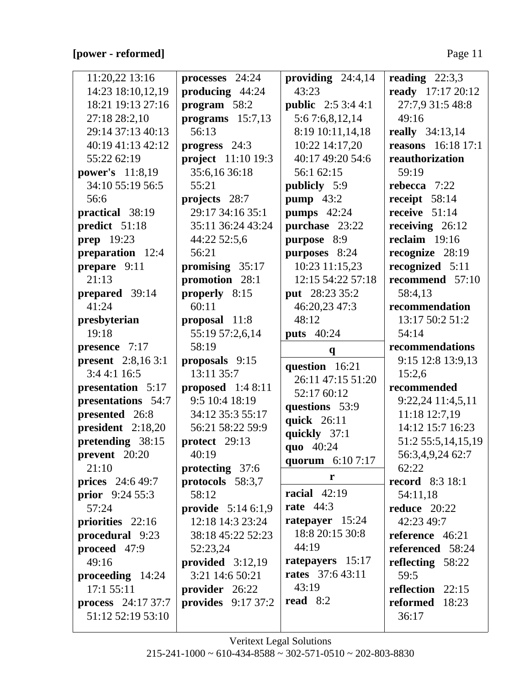# **[power - reformed]** Page 11

| 11:20,22 13:16            | processes 24:24            | providing $24:4,14$       | reading $22:3,3$          |
|---------------------------|----------------------------|---------------------------|---------------------------|
| 14:23 18:10,12,19         | producing 44:24            | 43:23                     | ready 17:17 20:12         |
| 18:21 19:13 27:16         | program 58:2               | <b>public</b> 2:5 3:4 4:1 | 27:7,9 31:5 48:8          |
| 27:18 28:2,10             | programs $15:7,13$         | 5:6 7:6,8,12,14           | 49:16                     |
| 29:14 37:13 40:13         | 56:13                      | 8:19 10:11,14,18          | <b>really</b> 34:13,14    |
| 40:19 41:13 42:12         | progress 24:3              | 10:22 14:17,20            | <b>reasons</b> 16:18 17:1 |
| 55:22 62:19               | project 11:10 19:3         | 40:17 49:20 54:6          | reauthorization           |
| power's 11:8,19           | 35:6,16 36:18              | 56:1 62:15                | 59:19                     |
| 34:10 55:19 56:5          | 55:21                      | publicly 5:9              | rebecca $7:22$            |
| 56:6                      | projects 28:7              | pump $43:2$               | receipt 58:14             |
| practical 38:19           | 29:17 34:16 35:1           | <b>pumps</b> 42:24        | receive $51:14$           |
| predict 51:18             | 35:11 36:24 43:24          | purchase 23:22            | receiving $26:12$         |
| <b>prep</b> 19:23         | 44:22 52:5,6               | purpose 8:9               | reclaim $19:16$           |
| preparation 12:4          | 56:21                      | purposes 8:24             | recognize 28:19           |
| prepare 9:11              | promising 35:17            | 10:23 11:15,23            | recognized 5:11           |
| 21:13                     | promotion 28:1             | 12:15 54:22 57:18         | recommend 57:10           |
| prepared 39:14            | properly 8:15              | put 28:23 35:2            | 58:4,13                   |
| 41:24                     | 60:11                      | 46:20,23 47:3             | recommendation            |
| presbyterian              | proposal 11:8              | 48:12                     | 13:17 50:2 51:2           |
| 19:18                     | 55:19 57:2,6,14            | <b>puts</b> 40:24         | 54:14                     |
| presence 7:17             | 58:19                      | $\mathbf{q}$              | recommendations           |
| <b>present</b> 2:8,16 3:1 | proposals 9:15             | question 16:21            | 9:15 12:8 13:9,13         |
| 3:44:116:5                | 13:11 35:7                 | 26:11 47:15 51:20         | 15:2,6                    |
| presentation 5:17         | proposed $1:48:11$         | 52:17 60:12               | recommended               |
| presentations 54:7        | 9:5 10:4 18:19             | questions 53:9            | 9:22,24 11:4,5,11         |
| presented 26:8            | 34:12 35:3 55:17           | quick 26:11               | 11:18 12:7,19             |
| president 2:18,20         | 56:21 58:22 59:9           | quickly 37:1              | 14:12 15:7 16:23          |
| pretending 38:15          | protect 29:13              | quo 40:24                 | 51:2 55:5,14,15,19        |
| prevent 20:20             | 40:19                      | quorum 6:10 7:17          | 56:3,4,9,24 62:7          |
| 21:10                     | protecting 37:6            |                           | 62:22                     |
| <b>prices</b> 24:6 49:7   | protocols 58:3,7           | r                         | <b>record</b> 8:3 18:1    |
| <b>prior</b> $9:2455:3$   | 58:12                      | racial $42:19$            | 54:11,18                  |
| 57:24                     | <b>provide</b> $5:146:1,9$ | rate $44:3$               | reduce $20:22$            |
| priorities 22:16          | 12:18 14:3 23:24           | ratepayer 15:24           | 42:23 49:7                |
| procedural 9:23           | 38:18 45:22 52:23          | 18:8 20:15 30:8           | reference 46:21           |
| proceed 47:9              |                            | 44:19                     | referenced 58:24          |
|                           | 52:23,24                   |                           |                           |
| 49:16                     | provided $3:12,19$         | ratepayers 15:17          | reflecting 58:22          |
| proceeding $14:24$        | 3:21 14:6 50:21            | <b>rates</b> 37:6 43:11   | 59:5                      |
| 17:155:11                 | provider 26:22             | 43:19                     | reflection 22:15          |
| <b>process</b> 24:17 37:7 | provides $9:1737:2$        | read $8:2$                | reformed 18:23            |
| 51:12 52:19 53:10         |                            |                           | 36:17                     |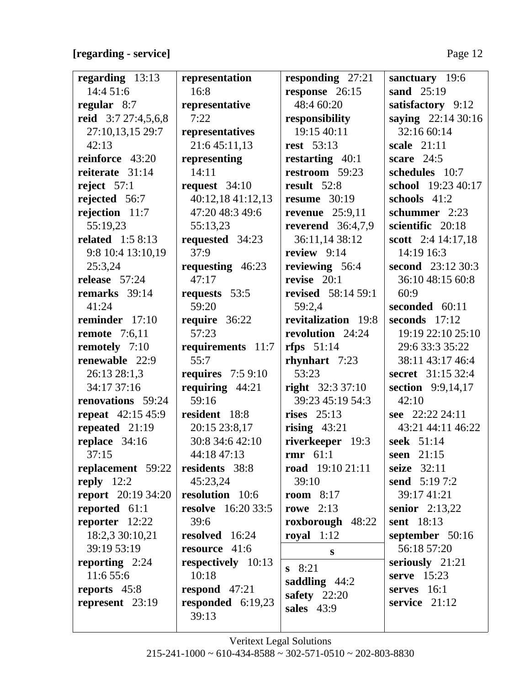# **[regarding - service]** Page 12

 $\frac{1}{2}$ 

| regarding $13:13$         | representation            | responding $27:21$        | sanctuary 19:6          |
|---------------------------|---------------------------|---------------------------|-------------------------|
| 14:4 51:6                 | 16:8                      | response 26:15            | sand $25:19$            |
| regular $8:7$             | representative            | 48:4 60:20                | satisfactory 9:12       |
| reid 3:7 27:4,5,6,8       | 7:22                      | responsibility            | saying 22:14 30:16      |
| 27:10,13,15 29:7          | representatives           | 19:15 40:11               | 32:16 60:14             |
| 42:13                     | 21:6 45:11,13             | <b>rest</b> 53:13         | scale $21:11$           |
| reinforce 43:20           | representing              | restarting $40:1$         | scare $24:5$            |
| reiterate 31:14           | 14:11                     | restroom 59:23            | schedules 10:7          |
| reject $57:1$             | request $34:10$           | result $52:8$             | school 19:23 40:17      |
| rejected 56:7             | 40:12,18 41:12,13         | resume $30:19$            | schools 41:2            |
| rejection 11:7            | 47:20 48:3 49:6           | revenue $25:9,11$         | schummer 2:23           |
| 55:19,23                  | 55:13,23                  | reverend $36:4,7,9$       | scientific 20:18        |
| related $1:58:13$         | requested 34:23           | 36:11,14 38:12            | scott 2:4 14:17,18      |
| 9:8 10:4 13:10,19         | 37:9                      | review $9:14$             | 14:19 16:3              |
| 25:3,24                   | requesting 46:23          | reviewing 56:4            | second 23:12 30:3       |
| release $57:24$           | 47:17                     | revise $20:1$             | 36:10 48:15 60:8        |
| remarks 39:14             | requests 53:5             | <b>revised</b> 58:14 59:1 | 60:9                    |
| 41:24                     | 59:20                     | 59:2,4                    | seconded 60:11          |
| reminder 17:10            | require 36:22             | revitalization 19:8       | seconds 17:12           |
| remote $7:6,11$           | 57:23                     | revolution 24:24          | 19:19 22:10 25:10       |
| remotely 7:10             | requirements 11:7         | rfps $51:14$              | 29:6 33:3 35:22         |
| renewable 22:9            | 55:7                      | rhynhart 7:23             | 38:11 43:17 46:4        |
| 26:13 28:1,3              | requires $7:59:10$        | 53:23                     | secret 31:15 32:4       |
| 34:17 37:16               | requiring $44:21$         | right $32:337:10$         | section 9:9,14,17       |
| renovations 59:24         | 59:16                     | 39:23 45:19 54:3          | 42:10                   |
| <b>repeat</b> 42:15 45:9  | resident 18:8             | rises $25:13$             | see 22:22 24:11         |
| repeated 21:19            | 20:15 23:8,17             | rising $43:21$            | 43:21 44:11 46:22       |
| replace 34:16             | 30:8 34:6 42:10           | riverkeeper 19:3          | seek 51:14              |
| 37:15                     | 44:18 47:13               | rmr $61:1$                | seen 21:15              |
| replacement 59:22         | residents 38:8            | road $19:1021:11$         | seize $32:11$           |
| reply $12:2$              | 45:23,24                  | 39:10                     | <b>send</b> 5:19 7:2    |
| <b>report</b> 20:19 34:20 | resolution 10:6           | room $8:17$               | 39:17 41:21             |
| reported 61:1             | <b>resolve</b> 16:20 33:5 | rowe $2:13$               | <b>senior</b> $2:13,22$ |
| reporter $12:22$          | 39:6                      | roxborough 48:22          | sent 18:13              |
| 18:2,3 30:10,21           | resolved 16:24            | royal $1:12$              | september $50:16$       |
| 39:19 53:19               | resource 41:6             | S                         | 56:18 57:20             |
| reporting $2:24$          | respectively 10:13        | $s$ 8:21                  | seriously $21:21$       |
| 11:6 55:6                 | 10:18                     | saddling $44:2$           | serve $15:23$           |
| reports 45:8              | respond $47:21$           | safety $22:20$            | serves $16:1$           |
| represent $23:19$         | responded $6:19,23$       | sales 43:9                | service $21:12$         |
|                           | 39:13                     |                           |                         |
|                           |                           |                           |                         |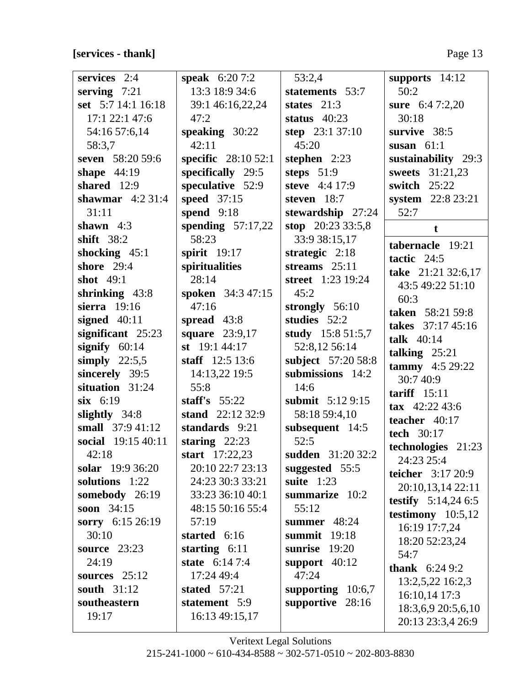**[services - thank]** Page 13

| services 2:4        | <b>speak</b> $6:207:2$      | 53:2,4              | supports 14:12            |
|---------------------|-----------------------------|---------------------|---------------------------|
| serving $7:21$      | 13:3 18:9 34:6              | statements 53:7     | 50:2                      |
| set 5:7 14:1 16:18  | 39:1 46:16,22,24            | states $21:3$       | sure $6:47:2,20$          |
| 17:1 22:1 47:6      | 47:2                        | status $40:23$      | 30:18                     |
| 54:16 57:6,14       | speaking $30:22$            | step 23:1 37:10     | survive 38:5              |
| 58:3,7              | 42:11                       | 45:20               | susan $61:1$              |
| seven 58:20 59:6    | <b>specific</b> $28:1052:1$ | stephen $2:23$      | sustainability 29:3       |
| shape $44:19$       | specifically 29:5           | steps $51:9$        | sweets 31:21,23           |
| shared 12:9         | speculative 52:9            | steve 4:4 17:9      | switch $25:22$            |
| shawmar $4:231:4$   | speed 37:15                 | steven 18:7         | system 22:8 23:21         |
| 31:11               | spend $9:18$                | stewardship 27:24   | 52:7                      |
| shawn $4:3$         | spending $57:17,22$         | stop 20:23 33:5,8   | t                         |
| shift $38:2$        | 58:23                       | 33:9 38:15,17       | tabernacle 19:21          |
| shocking $45:1$     | spirit $19:17$              | strategic $2:18$    | tactic 24:5               |
| <b>shore</b> 29:4   | spiritualities              | streams $25:11$     | take 21:21 32:6,17        |
| shot $49:1$         | 28:14                       | street 1:23 19:24   | 43:5 49:22 51:10          |
| shrinking 43:8      | spoken 34:3 47:15           | 45:2                | 60:3                      |
| sierra 19:16        | 47:16                       | strongly 56:10      | taken 58:21 59:8          |
| signed $40:11$      | spread $43:8$               | studies 52:2        | takes 37:17 45:16         |
| significant 25:23   | square 23:9,17              | study 15:8 51:5,7   | talk $40:14$              |
| signify $60:14$     | st $19:144:17$              | 52:8,12 56:14       | talking $25:21$           |
| simply $22:5,5$     | staff $12:5 13:6$           | subject 57:20 58:8  | tammy $4:529:22$          |
| sincerely 39:5      | 14:13,22 19:5               | submissions 14:2    | 30:7 40:9                 |
| situation 31:24     | 55:8                        | 14:6                | tariff $15:11$            |
| $six$ 6:19          | staff's $55:22$             | submit 5:12 9:15    | $\textbf{tax}$ 42:22 43:6 |
| slightly $34:8$     | stand $22:12\,32:9$         | 58:18 59:4,10       | teacher 40:17             |
| small 37:9 41:12    | standards 9:21              | subsequent 14:5     | <b>tech</b> 30:17         |
| social 19:15 40:11  | staring $22:23$             | 52:5                | technologies 21:23        |
| 42:18               | start $17:22,23$            | sudden 31:20 32:2   | 24:23 25:4                |
| solar 19:9 36:20    | 20:10 22:7 23:13            | suggested 55:5      | teicher 3:17 20:9         |
| solutions 1:22      | 24:23 30:3 33:21            | suite $1:23$        | 20:10,13,14 22:11         |
| somebody 26:19      | 33:23 36:10 40:1            | summarize 10:2      | testify $5:14,246:5$      |
| soon 34:15          | 48:15 50:16 55:4            | 55:12               | testimony $10:5,12$       |
| sorry 6:15 26:19    | 57:19                       | summer $48:24$      | 16:19 17:7,24             |
| 30:10               | started 6:16                | summit 19:18        | 18:20 52:23,24            |
| <b>source</b> 23:23 | starting 6:11               | sunrise<br>19:20    | 54:7                      |
| 24:19               | state $6:147:4$             | support $40:12$     | <b>thank</b> $6:249:2$    |
| sources $25:12$     | 17:24 49:4                  | 47:24               | 13:2,5,22 16:2,3          |
| south 31:12         | stated $57:21$              | supporting $10:6,7$ | 16:10,14 17:3             |
| southeastern        | statement 5:9               | supportive<br>28:16 | 18:3,6,9 20:5,6,10        |
| 19:17               | 16:13 49:15,17              |                     | 20:13 23:3,4 26:9         |
|                     |                             |                     |                           |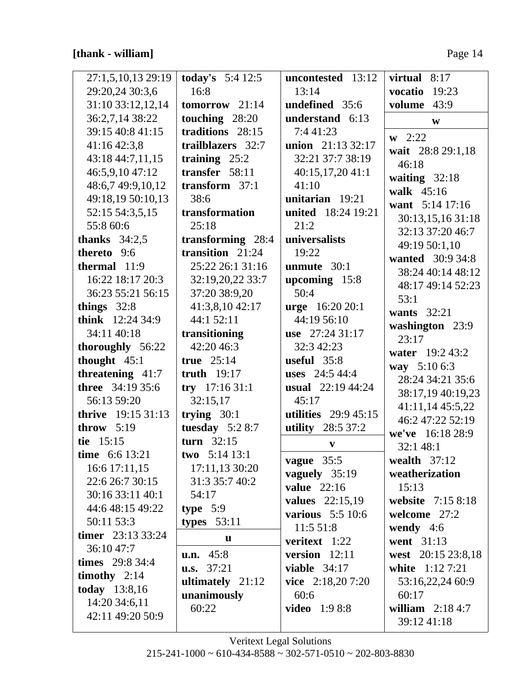| 27:1,5,10,13 29:19        | <b>today's</b> $5:412:5$        | uncontested 13:12           | 8:17<br>virtual    |
|---------------------------|---------------------------------|-----------------------------|--------------------|
| 29:20,24 30:3,6           | 16:8                            | 13:14                       | vocatio<br>19:23   |
| 31:10 33:12,12,14         | $tomorrow$ 21:14                | undefined 35:6              | 43:9<br>volume     |
| 36:2,7,14 38:22           | touching 28:20                  | understand 6:13             | $\mathbf{W}$       |
| 39:15 40:8 41:15          | traditions 28:15                | 7:4 41:23                   | $w$ 2:22           |
| 41:16 42:3,8              | trailblazers 32:7               | union 21:13 32:17           | wait 28:8 29:1,18  |
| 43:18 44:7,11,15          | training $25:2$                 | 32:21 37:7 38:19            | 46:18              |
| 46:5,9,10 47:12           | transfer 58:11                  | 40:15,17,20 41:1            | waiting $32:18$    |
| 48:6,7 49:9,10,12         | transform $37:1$                | 41:10                       | walk 45:16         |
| 49:18,19 50:10,13         | 38:6                            | unitarian 19:21             | want 5:14 17:16    |
| 52:15 54:3,5,15           | transformation                  | united 18:24 19:21          | 30:13,15,16 31:18  |
| 55:8 60:6                 | 25:18                           | 21:2                        | 32:13 37:20 46:7   |
| thanks $34:2,5$           | transforming 28:4               | universalists               | 49:19 50:1,10      |
| thereto 9:6               | transition $21:24$              | 19:22                       | wanted 30:9 34:8   |
| thermal $11:9$            | 25:22 26:1 31:16                | unmute 30:1                 | 38:24 40:14 48:12  |
| 16:22 18:17 20:3          | 32:19,20,22 33:7                | upcoming $15:8$             | 48:17 49:14 52:23  |
| 36:23 55:21 56:15         | 37:20 38:9,20                   | 50:4                        | 53:1               |
| things $32:8$             | 41:3,8,10 42:17                 | urge 16:20 20:1             | wants $32:21$      |
| think 12:24 34:9          | 44:1 52:11                      | 44:19 56:10                 | washington 23:9    |
| 34:11 40:18               | transitioning                   | use 27:24 31:17             | 23:17              |
| thoroughly 56:22          | 42:20 46:3                      | 32:3 42:23                  | water 19:2 43:2    |
| thought $45:1$            | true $25:14$                    | useful 35:8                 | way 5:10 6:3       |
| threatening $41:7$        | truth $19:17$                   | uses $24:544:4$             | 28:24 34:21 35:6   |
| <b>three</b> 34:19 35:6   | $try$ 17:16 31:1                | usual $22:19\,44:24$        | 38:17,19 40:19,23  |
| 56:13 59:20               | 32:15,17                        | 45:17                       | 41:11,14 45:5,22   |
| <b>thrive</b> 19:15 31:13 | trying $30:1$                   | <b>utilities</b> 29:9 45:15 | 46:2 47:22 52:19   |
| throw $5:19$              | tuesday $5:28:7$                | utility 28:5 37:2           | we've 16:18 28:9   |
| tie 15:15                 | turn $32:15$                    | $\boldsymbol{\mathrm{v}}$   | 32:1 48:1          |
| time 6:6 13:21            | two $5:14$ 13:1                 | vague 35:5                  | wealth $37:12$     |
| 16:6 17:11,15             | 17:11,13 30:20                  | vaguely 35:19               | weatherization     |
| 22:6 26:7 30:15           | 31:3 35:7 40:2                  | <b>value</b> 22:16          | 15:13              |
| 30:16 33:11 40:1          | 54:17                           | <b>values</b> 22:15,19      | website 7:15 8:18  |
| 44:6 48:15 49:22          | type $5:9$                      | various 5:5 10:6            | welcome 27:2       |
| 50:11 53:3                | types $53:11$                   | 11:5 51:8                   | wendy $4:6$        |
| timer $23:133:24$         | u                               | veritext 1:22               | went 31:13         |
| 36:10 47:7                | u.n. 45:8                       | version $12:11$             | west 20:15 23:8,18 |
| <b>times</b> 29:8 34:4    | $\mathbf{u}.\mathbf{s}$ . 37:21 | viable $34:17$              | white 1:12 7:21    |
| timothy $2:14$            | ultimately 21:12                | vice $2:18,207:20$          | 53:16,22,24 60:9   |
| today 13:8,16             | unanimously                     | 60:6                        | 60:17              |
| 14:20 34:6,11             | 60:22                           | <b>video</b> 1:9 8:8        | william $2:184:7$  |
| 42:11 49:20 50:9          |                                 |                             | 39:12 41:18        |